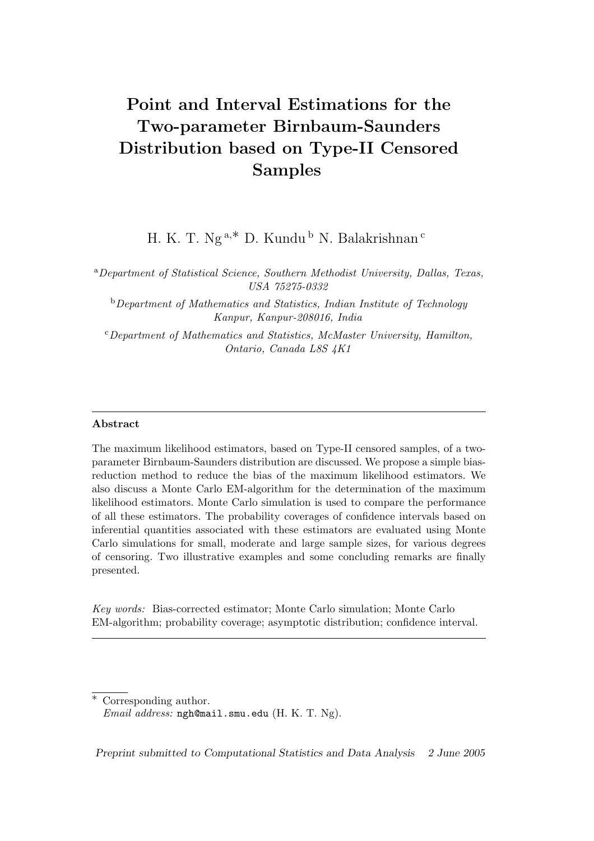# Point and Interval Estimations for the Two-parameter Birnbaum-Saunders Distribution based on Type-II Censored Samples

H. K. T. Ng<sup>a,\*</sup> D. Kundu<sup>b</sup> N. Balakrishnan<sup>c</sup>

<sup>a</sup>Department of Statistical Science, Southern Methodist University, Dallas, Texas, USA 75275-0332

 $b$ Department of Mathematics and Statistics, Indian Institute of Technology Kanpur, Kanpur-208016, India

 $c$ Department of Mathematics and Statistics, McMaster University, Hamilton, Ontario, Canada L8S 4K1

#### Abstract

The maximum likelihood estimators, based on Type-II censored samples, of a twoparameter Birnbaum-Saunders distribution are discussed. We propose a simple biasreduction method to reduce the bias of the maximum likelihood estimators. We also discuss a Monte Carlo EM-algorithm for the determination of the maximum likelihood estimators. Monte Carlo simulation is used to compare the performance of all these estimators. The probability coverages of confidence intervals based on inferential quantities associated with these estimators are evaluated using Monte Carlo simulations for small, moderate and large sample sizes, for various degrees of censoring. Two illustrative examples and some concluding remarks are finally presented.

Key words: Bias-corrected estimator; Monte Carlo simulation; Monte Carlo EM-algorithm; probability coverage; asymptotic distribution; confidence interval.

Preprint submitted to Computational Statistics and Data Analysis 2 June 2005

Corresponding author. Email address: ngh@mail.smu.edu (H. K. T. Ng).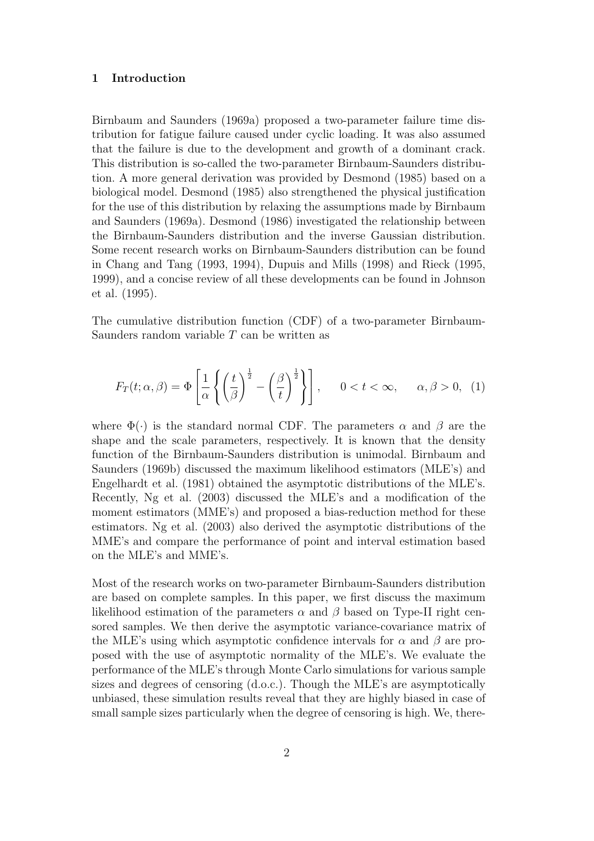#### 1 Introduction

Birnbaum and Saunders (1969a) proposed a two-parameter failure time distribution for fatigue failure caused under cyclic loading. It was also assumed that the failure is due to the development and growth of a dominant crack. This distribution is so-called the two-parameter Birnbaum-Saunders distribution. A more general derivation was provided by Desmond (1985) based on a biological model. Desmond (1985) also strengthened the physical justification for the use of this distribution by relaxing the assumptions made by Birnbaum and Saunders (1969a). Desmond (1986) investigated the relationship between the Birnbaum-Saunders distribution and the inverse Gaussian distribution. Some recent research works on Birnbaum-Saunders distribution can be found in Chang and Tang (1993, 1994), Dupuis and Mills (1998) and Rieck (1995, 1999), and a concise review of all these developments can be found in Johnson et al. (1995).

The cumulative distribution function (CDF) of a two-parameter Birnbaum-Saunders random variable T can be written as

$$
F_T(t; \alpha, \beta) = \Phi\left[\frac{1}{\alpha} \left\{ \left(\frac{t}{\beta}\right)^{\frac{1}{2}} - \left(\frac{\beta}{t}\right)^{\frac{1}{2}} \right\} \right], \quad 0 < t < \infty, \quad \alpha, \beta > 0, \tag{1}
$$

where  $\Phi(\cdot)$  is the standard normal CDF. The parameters  $\alpha$  and  $\beta$  are the shape and the scale parameters, respectively. It is known that the density function of the Birnbaum-Saunders distribution is unimodal. Birnbaum and Saunders (1969b) discussed the maximum likelihood estimators (MLE's) and Engelhardt et al. (1981) obtained the asymptotic distributions of the MLE's. Recently, Ng et al. (2003) discussed the MLE's and a modification of the moment estimators (MME's) and proposed a bias-reduction method for these estimators. Ng et al. (2003) also derived the asymptotic distributions of the MME's and compare the performance of point and interval estimation based on the MLE's and MME's.

Most of the research works on two-parameter Birnbaum-Saunders distribution are based on complete samples. In this paper, we first discuss the maximum likelihood estimation of the parameters  $\alpha$  and  $\beta$  based on Type-II right censored samples. We then derive the asymptotic variance-covariance matrix of the MLE's using which asymptotic confidence intervals for  $\alpha$  and  $\beta$  are proposed with the use of asymptotic normality of the MLE's. We evaluate the performance of the MLE's through Monte Carlo simulations for various sample sizes and degrees of censoring (d.o.c.). Though the MLE's are asymptotically unbiased, these simulation results reveal that they are highly biased in case of small sample sizes particularly when the degree of censoring is high. We, there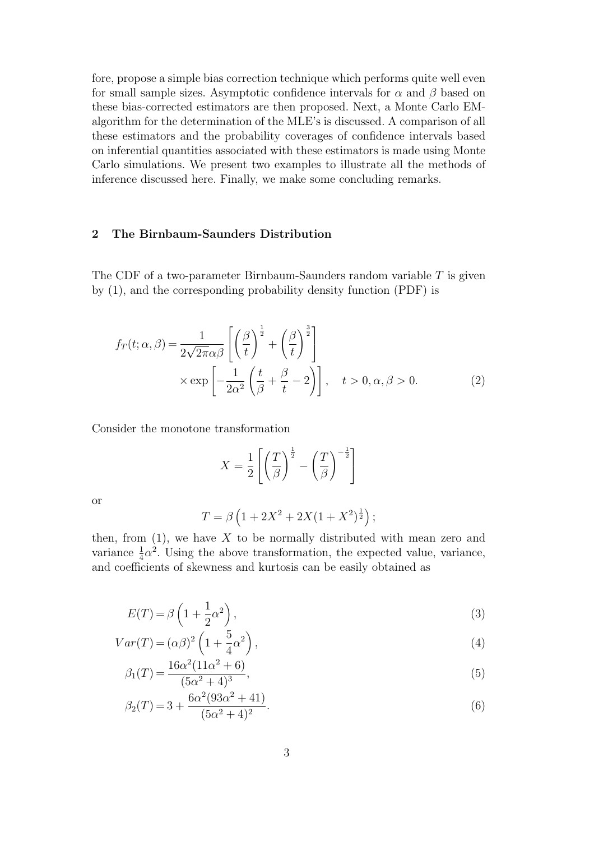fore, propose a simple bias correction technique which performs quite well even for small sample sizes. Asymptotic confidence intervals for  $\alpha$  and  $\beta$  based on these bias-corrected estimators are then proposed. Next, a Monte Carlo EMalgorithm for the determination of the MLE's is discussed. A comparison of all these estimators and the probability coverages of confidence intervals based on inferential quantities associated with these estimators is made using Monte Carlo simulations. We present two examples to illustrate all the methods of inference discussed here. Finally, we make some concluding remarks.

## 2 The Birnbaum-Saunders Distribution

The CDF of a two-parameter Birnbaum-Saunders random variable T is given by (1), and the corresponding probability density function (PDF) is

$$
f_T(t; \alpha, \beta) = \frac{1}{2\sqrt{2\pi}\alpha\beta} \left[ \left(\frac{\beta}{t}\right)^{\frac{1}{2}} + \left(\frac{\beta}{t}\right)^{\frac{3}{2}} \right] \times \exp\left[ -\frac{1}{2\alpha^2} \left(\frac{t}{\beta} + \frac{\beta}{t} - 2\right) \right], \quad t > 0, \alpha, \beta > 0.
$$
 (2)

Consider the monotone transformation

$$
X = \frac{1}{2} \left[ \left( \frac{T}{\beta} \right)^{\frac{1}{2}} - \left( \frac{T}{\beta} \right)^{-\frac{1}{2}} \right]
$$

or

$$
T = \beta \left( 1 + 2X^2 + 2X(1 + X^2)^{\frac{1}{2}} \right);
$$

then, from  $(1)$ , we have X to be normally distributed with mean zero and variance  $\frac{1}{4}\alpha^2$ . Using the above transformation, the expected value, variance, and coefficients of skewness and kurtosis can be easily obtained as

$$
E(T) = \beta \left( 1 + \frac{1}{2} \alpha^2 \right),\tag{3}
$$

$$
Var(T) = (\alpha \beta)^2 \left( 1 + \frac{5}{4} \alpha^2 \right),\tag{4}
$$

$$
\beta_1(T) = \frac{16\alpha^2(11\alpha^2 + 6)}{(5\alpha^2 + 4)^3},\tag{5}
$$

$$
\beta_2(T) = 3 + \frac{6\alpha^2 (93\alpha^2 + 41)}{(5\alpha^2 + 4)^2}.
$$
\n(6)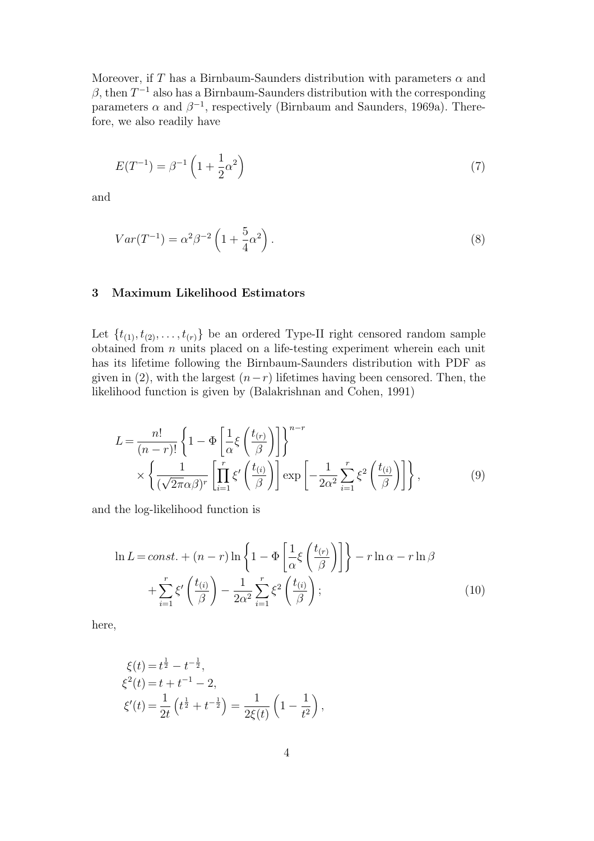Moreover, if T has a Birnbaum-Saunders distribution with parameters  $\alpha$  and  $\beta$ , then  $T^{-1}$  also has a Birnbaum-Saunders distribution with the corresponding parameters  $\alpha$  and  $\beta^{-1}$ , respectively (Birnbaum and Saunders, 1969a). Therefore, we also readily have

$$
E(T^{-1}) = \beta^{-1} \left( 1 + \frac{1}{2} \alpha^2 \right) \tag{7}
$$

and

$$
Var(T^{-1}) = \alpha^2 \beta^{-2} \left( 1 + \frac{5}{4} \alpha^2 \right). \tag{8}
$$

# 3 Maximum Likelihood Estimators

Let  $\{t_{(1)}, t_{(2)}, \ldots, t_{(r)}\}$  be an ordered Type-II right censored random sample obtained from  $n$  units placed on a life-testing experiment wherein each unit has its lifetime following the Birnbaum-Saunders distribution with PDF as given in (2), with the largest  $(n-r)$  lifetimes having been censored. Then, the likelihood function is given by (Balakrishnan and Cohen, 1991)

$$
L = \frac{n!}{(n-r)!} \left\{ 1 - \Phi \left[ \frac{1}{\alpha} \xi \left( \frac{t_{(r)}}{\beta} \right) \right] \right\}^{n-r} \times \left\{ \frac{1}{(\sqrt{2\pi}\alpha\beta)^r} \left[ \prod_{i=1}^r \xi' \left( \frac{t_{(i)}}{\beta} \right) \right] \exp \left[ -\frac{1}{2\alpha^2} \sum_{i=1}^r \xi^2 \left( \frac{t_{(i)}}{\beta} \right) \right] \right\},
$$
(9)

and the log-likelihood function is

$$
\ln L = const. + (n - r) \ln \left\{ 1 - \Phi \left[ \frac{1}{\alpha} \xi \left( \frac{t_{(r)}}{\beta} \right) \right] \right\} - r \ln \alpha - r \ln \beta
$$

$$
+ \sum_{i=1}^{r} \xi' \left( \frac{t_{(i)}}{\beta} \right) - \frac{1}{2\alpha^2} \sum_{i=1}^{r} \xi^2 \left( \frac{t_{(i)}}{\beta} \right); \tag{10}
$$

here,

$$
\xi(t) = t^{\frac{1}{2}} - t^{-\frac{1}{2}},
$$
  
\n
$$
\xi^{2}(t) = t + t^{-1} - 2,
$$
  
\n
$$
\xi'(t) = \frac{1}{2t} \left( t^{\frac{1}{2}} + t^{-\frac{1}{2}} \right) = \frac{1}{2\xi(t)} \left( 1 - \frac{1}{t^{2}} \right),
$$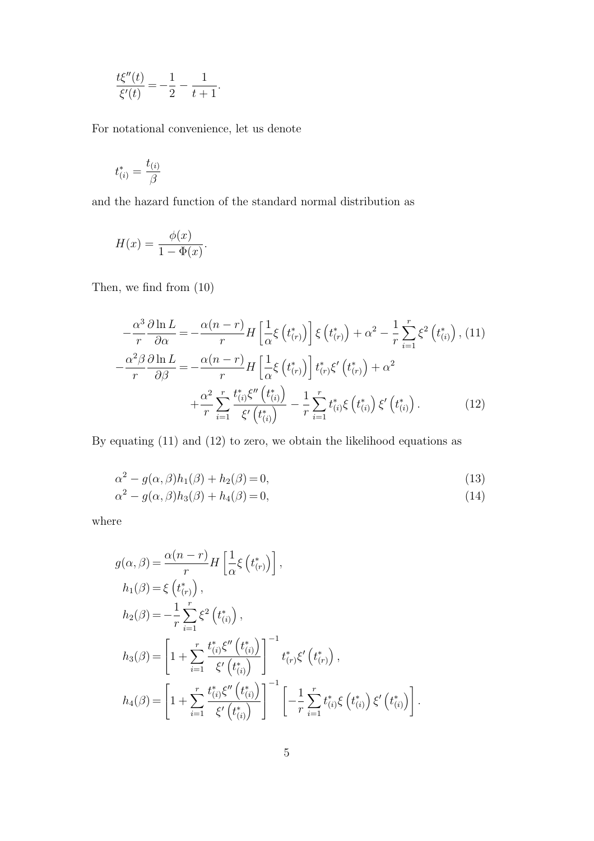$$
\frac{t\xi''(t)}{\xi'(t)} = -\frac{1}{2} - \frac{1}{t+1}.
$$

For notational convenience, let us denote

$$
t_{(i)}^* = \frac{t_{(i)}}{\beta}
$$

and the hazard function of the standard normal distribution as

$$
H(x) = \frac{\phi(x)}{1 - \Phi(x)}.
$$

Then, we find from (10)

$$
-\frac{\alpha^3}{r}\frac{\partial \ln L}{\partial \alpha} = -\frac{\alpha(n-r)}{r}H\left[\frac{1}{\alpha}\xi\left(t_{(r)}^*\right)\right]\xi\left(t_{(r)}^*\right) + \alpha^2 - \frac{1}{r}\sum_{i=1}^r\xi^2\left(t_{(i)}^*\right), (11)
$$

$$
-\frac{\alpha^2\beta}{r}\frac{\partial \ln L}{\partial \beta} = -\frac{\alpha(n-r)}{r}H\left[\frac{1}{\alpha}\xi\left(t_{(r)}^*\right)\right]t_{(r)}^*\xi'\left(t_{(r)}^*\right) + \alpha^2
$$

$$
+\frac{\alpha^2}{r}\sum_{i=1}^r\frac{t_{(i)}^*\xi''\left(t_{(i)}^*\right)}{\xi'\left(t_{(i)}^*\right)} - \frac{1}{r}\sum_{i=1}^r t_{(i)}^*\xi\left(t_{(i)}^*\right)\xi'\left(t_{(i)}^*\right). \tag{12}
$$

By equating (11) and (12) to zero, we obtain the likelihood equations as

$$
\alpha^2 - g(\alpha, \beta)h_1(\beta) + h_2(\beta) = 0,\t(13)
$$

$$
\alpha^2 - g(\alpha, \beta)h_3(\beta) + h_4(\beta) = 0,\t(14)
$$

where

$$
g(\alpha, \beta) = \frac{\alpha(n-r)}{r} H\left[\frac{1}{\alpha} \xi(t_{(r)}^{*})\right],
$$
  
\n
$$
h_1(\beta) = \xi(t_{(r)}^{*}),
$$
  
\n
$$
h_2(\beta) = -\frac{1}{r} \sum_{i=1}^{r} \xi^2(t_{(i)}^{*}),
$$
  
\n
$$
h_3(\beta) = \left[1 + \sum_{i=1}^{r} \frac{t_{(i)}^{*} \xi''(t_{(i)}^{*})}{\xi'(t_{(i)}^{*})}\right]^{-1} t_{(r)}^{*} \xi'(t_{(r)}^{*}),
$$
  
\n
$$
h_4(\beta) = \left[1 + \sum_{i=1}^{r} \frac{t_{(i)}^{*} \xi''(t_{(i)}^{*})}{\xi'(t_{(i)}^{*})}\right]^{-1} \left[-\frac{1}{r} \sum_{i=1}^{r} t_{(i)}^{*} \xi(t_{(i)}^{*}) \xi'(t_{(i)}^{*})\right].
$$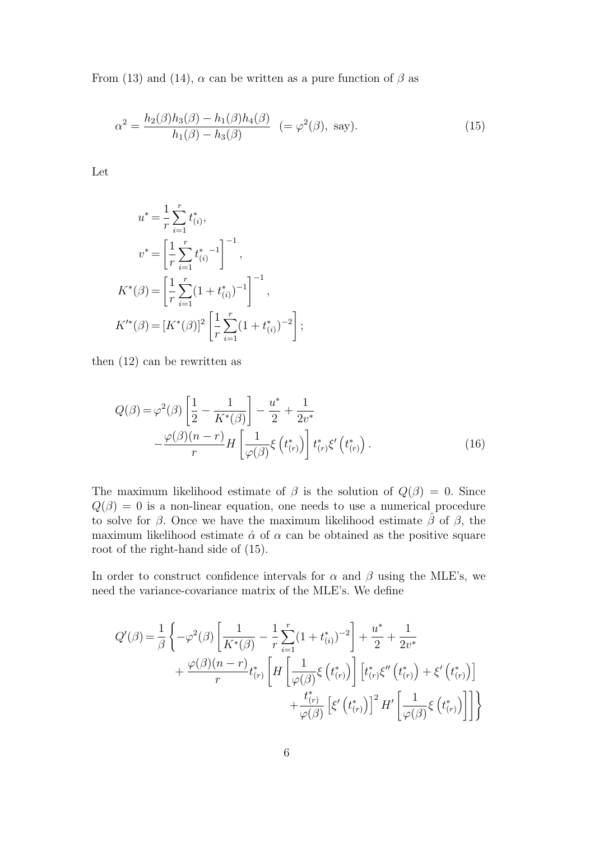From (13) and (14),  $\alpha$  can be written as a pure function of  $\beta$  as

$$
\alpha^2 = \frac{h_2(\beta)h_3(\beta) - h_1(\beta)h_4(\beta)}{h_1(\beta) - h_3(\beta)} \ \ ( = \varphi^2(\beta), \text{ say}). \tag{15}
$$

Let

$$
u^* = \frac{1}{r} \sum_{i=1}^r t_{(i)}^*,
$$
  
\n
$$
v^* = \left[\frac{1}{r} \sum_{i=1}^r t_{(i)}^{*} \right]^{-1},
$$
  
\n
$$
K^*(\beta) = \left[\frac{1}{r} \sum_{i=1}^r (1 + t_{(i)}^*)^{-1}\right]^{-1},
$$
  
\n
$$
K'^*(\beta) = [K^*(\beta)]^2 \left[\frac{1}{r} \sum_{i=1}^r (1 + t_{(i)}^*)^{-2}\right];
$$

then (12) can be rewritten as

$$
Q(\beta) = \varphi^2(\beta) \left[ \frac{1}{2} - \frac{1}{K^*(\beta)} \right] - \frac{u^*}{2} + \frac{1}{2v^*}
$$

$$
-\frac{\varphi(\beta)(n-r)}{r} H\left[ \frac{1}{\varphi(\beta)} \xi \left( t^*_{(r)} \right) \right] t^*_{(r)} \xi' \left( t^*_{(r)} \right). \tag{16}
$$

The maximum likelihood estimate of  $\beta$  is the solution of  $Q(\beta) = 0$ . Since  $Q(\beta) = 0$  is a non-linear equation, one needs to use a numerical procedure to solve for  $\beta$ . Once we have the maximum likelihood estimate  $\hat{\beta}$  of  $\beta$ , the maximum likelihood estimate  $\hat{\alpha}$  of  $\alpha$  can be obtained as the positive square root of the right-hand side of (15).

In order to construct confidence intervals for  $\alpha$  and  $\beta$  using the MLE's, we need the variance-covariance matrix of the MLE's. We define

$$
Q'(\beta) = \frac{1}{\beta} \left\{ -\varphi^2(\beta) \left[ \frac{1}{K^*(\beta)} - \frac{1}{r} \sum_{i=1}^r (1 + t_{(i)}^*)^{-2} \right] + \frac{u^*}{2} + \frac{1}{2v^*} + \frac{\varphi(\beta)(n-r)}{r} t_{(r)}^* \left[ H \left[ \frac{1}{\varphi(\beta)} \xi \left( t_{(r)}^* \right) \right] \left[ t_{(r)}^* \xi'' \left( t_{(r)}^* \right) + \xi' \left( t_{(r)}^* \right) \right] + \frac{t_{(r)}^*}{\varphi(\beta)} \left[ \xi' \left( t_{(r)}^* \right) \right]^2 H' \left[ \frac{1}{\varphi(\beta)} \xi \left( t_{(r)}^* \right) \right] \right] \right\}
$$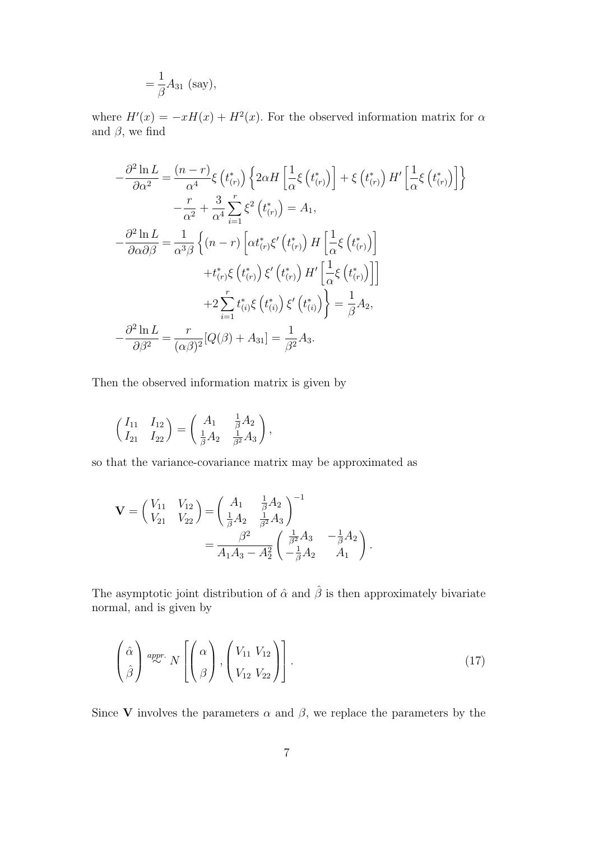$$
=\frac{1}{\beta}A_{31} \text{ (say)},
$$

where  $H'(x) = -xH(x) + H^2(x)$ . For the observed information matrix for  $\alpha$ and  $\beta$ , we find

$$
-\frac{\partial^2 \ln L}{\partial \alpha^2} = \frac{(n-r)}{\alpha^4} \xi \left( t_{(r)}^* \right) \left\{ 2\alpha H \left[ \frac{1}{\alpha} \xi \left( t_{(r)}^* \right) \right] + \xi \left( t_{(r)}^* \right) H' \left[ \frac{1}{\alpha} \xi \left( t_{(r)}^* \right) \right] \right\}
$$

$$
-\frac{r}{\alpha^2} + \frac{3}{\alpha^4} \sum_{i=1}^r \xi^2 \left( t_{(r)}^* \right) = A_1,
$$

$$
-\frac{\partial^2 \ln L}{\partial \alpha \partial \beta} = \frac{1}{\alpha^3 \beta} \left\{ (n-r) \left[ \alpha t_{(r)}^* \xi' \left( t_{(r)}^* \right) H \left[ \frac{1}{\alpha} \xi \left( t_{(r)}^* \right) \right] \right. \right.
$$

$$
+ t_{(r)}^* \xi \left( t_{(r)}^* \right) \xi' \left( t_{(r)}^* \right) H' \left[ \frac{1}{\alpha} \xi \left( t_{(r)}^* \right) \right] \right]
$$

$$
+ 2 \sum_{i=1}^r t_{(i)}^* \xi \left( t_{(i)}^* \right) \xi' \left( t_{(i)}^* \right) \right\} = \frac{1}{\beta} A_2,
$$

$$
-\frac{\partial^2 \ln L}{\partial \beta^2} = \frac{r}{(\alpha \beta)^2} [Q(\beta) + A_{31}] = \frac{1}{\beta^2} A_3.
$$

Then the observed information matrix is given by

$$
\begin{pmatrix} I_{11} & I_{12} \\ I_{21} & I_{22} \end{pmatrix} = \begin{pmatrix} A_1 & \frac{1}{\beta}A_2 \\ \frac{1}{\beta}A_2 & \frac{1}{\beta^2}A_3 \end{pmatrix},
$$

so that the variance-covariance matrix may be approximated as

$$
\mathbf{V} = \begin{pmatrix} V_{11} & V_{12} \\ V_{21} & V_{22} \end{pmatrix} = \begin{pmatrix} A_1 & \frac{1}{\beta}A_2 \\ \frac{1}{\beta}A_2 & \frac{1}{\beta^2}A_3 \end{pmatrix}^{-1} = \frac{\beta^2}{A_1A_3 - A_2^2} \begin{pmatrix} \frac{1}{\beta^2}A_3 & -\frac{1}{\beta}A_2 \\ -\frac{1}{\beta}A_2 & A_1 \end{pmatrix}.
$$

The asymptotic joint distribution of  $\hat{\alpha}$  and  $\hat{\beta}$  is then approximately bivariate normal, and is given by

$$
\left(\begin{array}{c}\n\hat{\alpha} \\
\hat{\beta}\n\end{array}\right) \stackrel{appr.}{\sim} N\left[\n\left(\begin{array}{c}\n\alpha \\
\beta\n\end{array}\right),\n\left(\begin{array}{c}\nV_{11} & V_{12} \\
V_{12} & V_{22}\n\end{array}\right)\n\right].
$$
\n(17)

Since V involves the parameters  $\alpha$  and  $\beta$ , we replace the parameters by the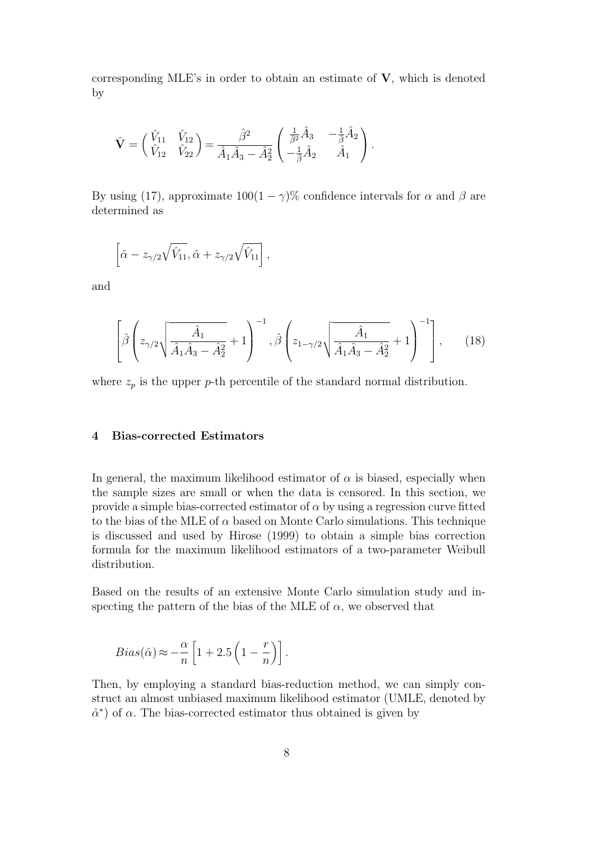corresponding MLE's in order to obtain an estimate of  $V$ , which is denoted by

$$
\hat{\mathbf{V}} = \begin{pmatrix} \hat{V}_{11} & \hat{V}_{12} \\ \hat{V}_{12} & \hat{V}_{22} \end{pmatrix} = \frac{\hat{\beta}^2}{\hat{A}_1 \hat{A}_3 - \hat{A}_2^2} \begin{pmatrix} \frac{1}{\hat{\beta}^2} \hat{A}_3 & -\frac{1}{\hat{\beta}} \hat{A}_2 \\ -\frac{1}{\hat{\beta}} \hat{A}_2 & \hat{A}_1 \end{pmatrix}.
$$

By using (17), approximate  $100(1 - \gamma)\%$  confidence intervals for  $\alpha$  and  $\beta$  are determined as

$$
\left[\hat{\alpha} - z_{\gamma/2}\sqrt{\hat{V}_{11}}, \hat{\alpha} + z_{\gamma/2}\sqrt{\hat{V}_{11}}\right],
$$

and

$$
\left[\hat{\beta}\left(z_{\gamma/2}\sqrt{\frac{\hat{A}_1}{\hat{A}_1\hat{A}_3-\hat{A}_2^2}}+1\right)^{-1},\hat{\beta}\left(z_{1-\gamma/2}\sqrt{\frac{\hat{A}_1}{\hat{A}_1\hat{A}_3-\hat{A}_2^2}}+1\right)^{-1}\right],\qquad(18)
$$

where  $z_p$  is the upper p-th percentile of the standard normal distribution.

#### 4 Bias-corrected Estimators

In general, the maximum likelihood estimator of  $\alpha$  is biased, especially when the sample sizes are small or when the data is censored. In this section, we provide a simple bias-corrected estimator of  $\alpha$  by using a regression curve fitted to the bias of the MLE of  $\alpha$  based on Monte Carlo simulations. This technique is discussed and used by Hirose (1999) to obtain a simple bias correction formula for the maximum likelihood estimators of a two-parameter Weibull distribution.

Based on the results of an extensive Monte Carlo simulation study and inspecting the pattern of the bias of the MLE of  $\alpha$ , we observed that

$$
Bias(\hat{\alpha}) \approx -\frac{\alpha}{n} \left[ 1 + 2.5 \left( 1 - \frac{r}{n} \right) \right].
$$

Then, by employing a standard bias-reduction method, we can simply construct an almost unbiased maximum likelihood estimator (UMLE, denoted by  $\hat{\alpha}^*$ ) of  $\alpha$ . The bias-corrected estimator thus obtained is given by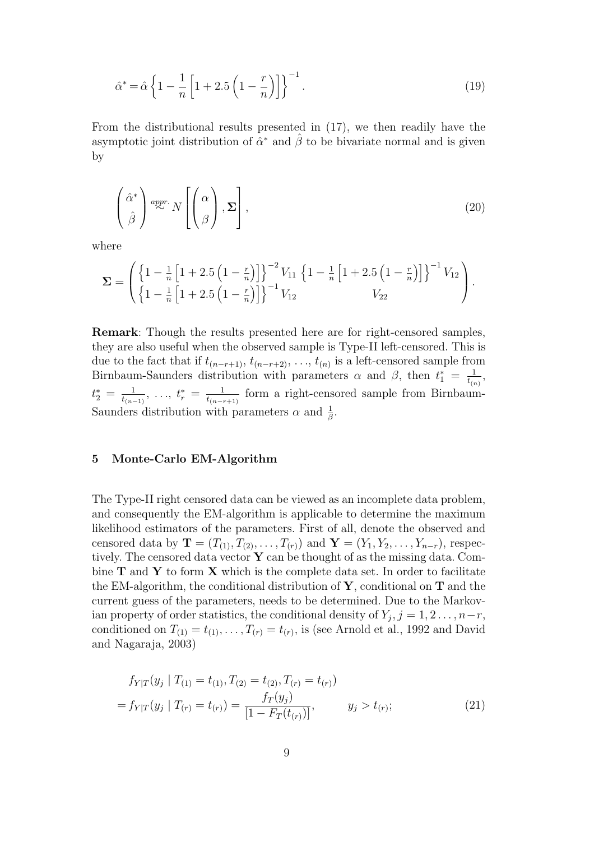$$
\hat{\alpha}^* = \hat{\alpha} \left\{ 1 - \frac{1}{n} \left[ 1 + 2.5 \left( 1 - \frac{r}{n} \right) \right] \right\}^{-1}.
$$
\n(19)

From the distributional results presented in (17), we then readily have the asymptotic joint distribution of  $\hat{\alpha}^*$  and  $\hat{\beta}$  to be bivariate normal and is given by

$$
\left(\begin{array}{c}\n\hat{\alpha}^* \\
\hat{\beta}\n\end{array}\right)^{appr.} N \left[\n\left(\begin{array}{c}\n\alpha \\
\beta\n\end{array}\right), \Sigma\right],
$$
\n(20)

where

$$
\Sigma = \left( \left\{ 1 - \frac{1}{n} \left[ 1 + 2.5 \left( 1 - \frac{r}{n} \right) \right] \right\}^{-2} V_{11} \left\{ 1 - \frac{1}{n} \left[ 1 + 2.5 \left( 1 - \frac{r}{n} \right) \right] \right\}^{-1} V_{12} \right) \cdot \left[ \left\{ 1 - \frac{1}{n} \left[ 1 + 2.5 \left( 1 - \frac{r}{n} \right) \right] \right\}^{-1} V_{12} \right) \cdot V_{22}
$$

Remark: Though the results presented here are for right-censored samples, they are also useful when the observed sample is Type-II left-censored. This is due to the fact that if  $t_{(n-r+1)}, t_{(n-r+2)}, \ldots, t_{(n)}$  is a left-censored sample from Birnbaum-Saunders distribution with parameters  $\alpha$  and  $\beta$ , then  $t_1^* = \frac{1}{t \alpha}$  $\frac{1}{t_{(n)}},$  $t_2^* = \frac{1}{t_{(n-1)}}$  $\frac{1}{t_{(n-1)}},\; \ldots,\; t_r^* \:=\: \frac{1}{t_{(n-r)}}$  $\frac{1}{t_{(n-r+1)}}$  form a right-censored sample from Birnbaum-Saunders distribution with parameters  $\alpha$  and  $\frac{1}{\beta}$ .

#### 5 Monte-Carlo EM-Algorithm

The Type-II right censored data can be viewed as an incomplete data problem, and consequently the EM-algorithm is applicable to determine the maximum likelihood estimators of the parameters. First of all, denote the observed and censored data by  $T = (T_{(1)}, T_{(2)}, \ldots, T_{(r)})$  and  $Y = (Y_1, Y_2, \ldots, Y_{n-r})$ , respectively. The censored data vector  $\bf{Y}$  can be thought of as the missing data. Combine  $T$  and  $Y$  to form  $X$  which is the complete data set. In order to facilitate the EM-algorithm, the conditional distribution of  $\mathbf{Y}$ , conditional on  $\mathbf{T}$  and the current guess of the parameters, needs to be determined. Due to the Markovian property of order statistics, the conditional density of  $Y_j$ ,  $j = 1, 2, ..., n-r$ , conditioned on  $T_{(1)} = t_{(1)}, \ldots, T_{(r)} = t_{(r)}$ , is (see Arnold et al., 1992 and David and Nagaraja, 2003)

$$
f_{Y|T}(y_j | T_{(1)} = t_{(1)}, T_{(2)} = t_{(2)}, T_{(r)} = t_{(r)})
$$
  
=  $f_{Y|T}(y_j | T_{(r)} = t_{(r)}) = \frac{f_T(y_j)}{[1 - F_T(t_{(r)})]}, \qquad y_j > t_{(r)};$  (21)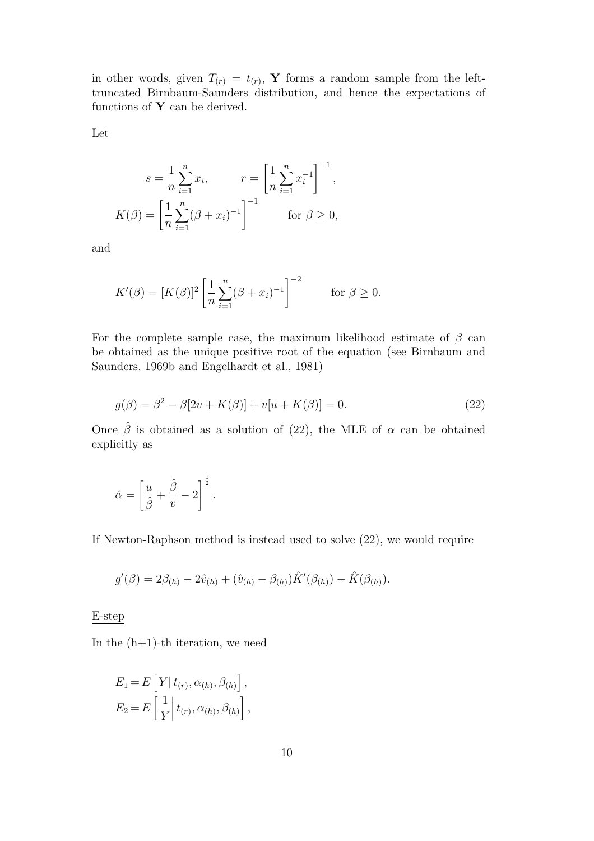in other words, given  $T(r) = t(r)$ , Y forms a random sample from the lefttruncated Birnbaum-Saunders distribution, and hence the expectations of functions of  $Y$  can be derived.

Let

$$
s = \frac{1}{n} \sum_{i=1}^{n} x_i, \qquad r = \left[ \frac{1}{n} \sum_{i=1}^{n} x_i^{-1} \right]^{-1},
$$
  

$$
K(\beta) = \left[ \frac{1}{n} \sum_{i=1}^{n} (\beta + x_i)^{-1} \right]^{-1} \qquad \text{for } \beta \ge 0,
$$

and

$$
K'(\beta) = [K(\beta)]^2 \left[ \frac{1}{n} \sum_{i=1}^n (\beta + x_i)^{-1} \right]^{-2} \quad \text{for } \beta \ge 0.
$$

For the complete sample case, the maximum likelihood estimate of  $\beta$  can be obtained as the unique positive root of the equation (see Birnbaum and Saunders, 1969b and Engelhardt et al., 1981)

$$
g(\beta) = \beta^2 - \beta[2v + K(\beta)] + v[u + K(\beta)] = 0.
$$
 (22)

Once  $\hat{\beta}$  is obtained as a solution of (22), the MLE of  $\alpha$  can be obtained explicitly as

$$
\hat{\alpha} = \left[\frac{u}{\hat{\beta}} + \frac{\hat{\beta}}{v} - 2\right]^{\frac{1}{2}}.
$$

If Newton-Raphson method is instead used to solve (22), we would require

$$
g'(\beta) = 2\beta_{(h)} - 2\hat{v}_{(h)} + (\hat{v}_{(h)} - \beta_{(h)})\hat{K}'(\beta_{(h)}) - \hat{K}(\beta_{(h)}).
$$

E-step

In the  $(h+1)$ -th iteration, we need

$$
E_1 = E\left[Y | t_{(r)}, \alpha_{(h)}, \beta_{(h)}\right],
$$
  
\n
$$
E_2 = E\left[\frac{1}{Y} | t_{(r)}, \alpha_{(h)}, \beta_{(h)}\right],
$$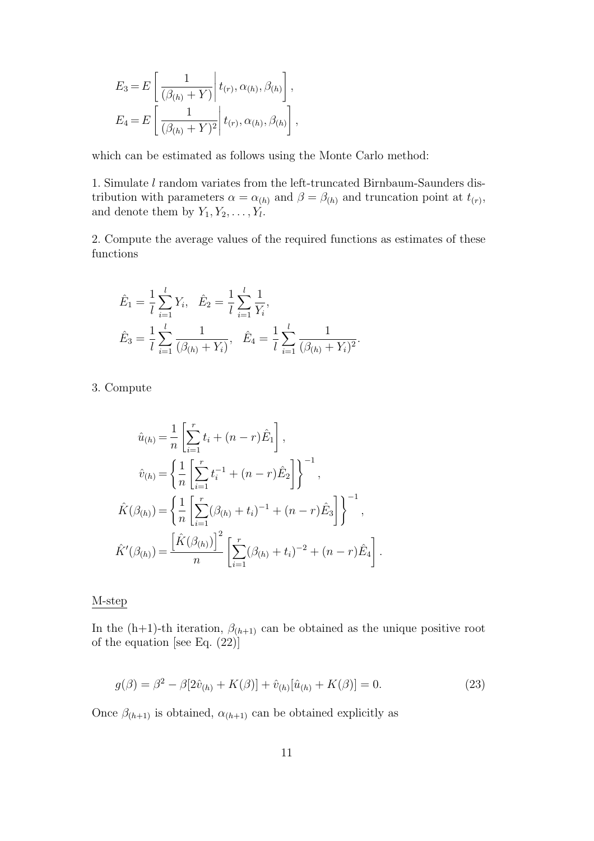$$
E_3 = E\left[\frac{1}{(\beta_{(h)} + Y)} \middle| t_{(r)}, \alpha_{(h)}, \beta_{(h)} \right],
$$
  
\n
$$
E_4 = E\left[\frac{1}{(\beta_{(h)} + Y)^2} \middle| t_{(r)}, \alpha_{(h)}, \beta_{(h)} \right],
$$

which can be estimated as follows using the Monte Carlo method:

1. Simulate l random variates from the left-truncated Birnbaum-Saunders distribution with parameters  $\alpha = \alpha_{(h)}$  and  $\beta = \beta_{(h)}$  and truncation point at  $t_{(r)}$ , and denote them by  $Y_1, Y_2, \ldots, Y_l$ .

2. Compute the average values of the required functions as estimates of these functions

$$
\hat{E}_1 = \frac{1}{l} \sum_{i=1}^l Y_i, \quad \hat{E}_2 = \frac{1}{l} \sum_{i=1}^l \frac{1}{Y_i},
$$
\n
$$
\hat{E}_3 = \frac{1}{l} \sum_{i=1}^l \frac{1}{(\beta_{(h)} + Y_i)}, \quad \hat{E}_4 = \frac{1}{l} \sum_{i=1}^l \frac{1}{(\beta_{(h)} + Y_i)^2}.
$$

3. Compute

$$
\hat{u}_{(h)} = \frac{1}{n} \left[ \sum_{i=1}^{r} t_i + (n-r) \hat{E}_1 \right],
$$
  

$$
\hat{v}_{(h)} = \left\{ \frac{1}{n} \left[ \sum_{i=1}^{r} t_i^{-1} + (n-r) \hat{E}_2 \right] \right\}^{-1},
$$
  

$$
\hat{K}(\beta_{(h)}) = \left\{ \frac{1}{n} \left[ \sum_{i=1}^{r} (\beta_{(h)} + t_i)^{-1} + (n-r) \hat{E}_3 \right] \right\}^{-1},
$$
  

$$
\hat{K}'(\beta_{(h)}) = \frac{\left[ \hat{K}(\beta_{(h)}) \right]^2}{n} \left[ \sum_{i=1}^{r} (\beta_{(h)} + t_i)^{-2} + (n-r) \hat{E}_4 \right].
$$

### M-step

In the (h+1)-th iteration,  $\beta_{(h+1)}$  can be obtained as the unique positive root of the equation [see Eq. (22)]

$$
g(\beta) = \beta^2 - \beta[2\hat{v}_{(h)} + K(\beta)] + \hat{v}_{(h)}[\hat{u}_{(h)} + K(\beta)] = 0.
$$
 (23)

Once  $\beta_{(h+1)}$  is obtained,  $\alpha_{(h+1)}$  can be obtained explicitly as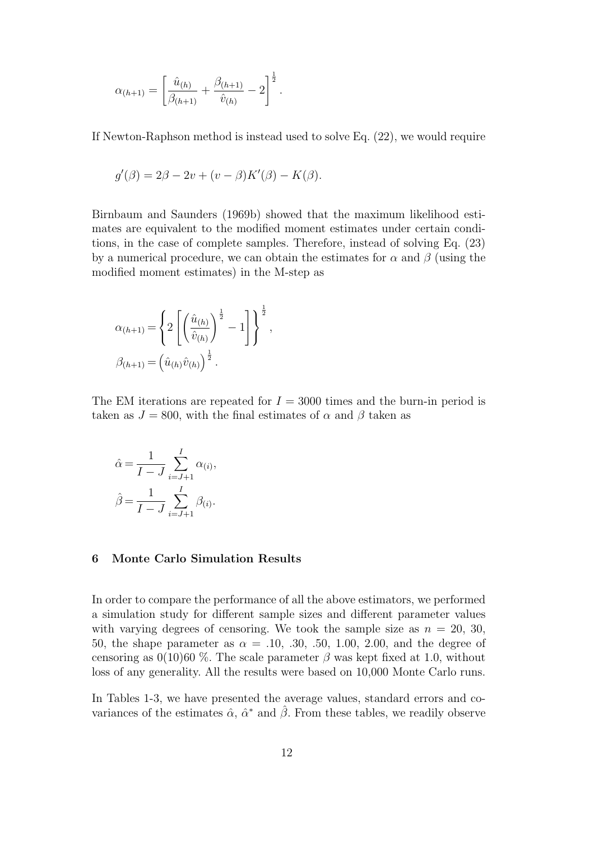$$
\alpha_{(h+1)} = \left[\frac{\hat{u}_{(h)}}{\beta_{(h+1)}} + \frac{\beta_{(h+1)}}{\hat{v}_{(h)}} - 2\right]^{\frac{1}{2}}.
$$

If Newton-Raphson method is instead used to solve Eq. (22), we would require

$$
g'(\beta) = 2\beta - 2v + (v - \beta)K'(\beta) - K(\beta).
$$

Birnbaum and Saunders (1969b) showed that the maximum likelihood estimates are equivalent to the modified moment estimates under certain conditions, in the case of complete samples. Therefore, instead of solving Eq. (23) by a numerical procedure, we can obtain the estimates for  $\alpha$  and  $\beta$  (using the modified moment estimates) in the M-step as

$$
\alpha_{(h+1)} = \left\{ 2 \left[ \left( \frac{\hat{u}_{(h)}}{\hat{v}_{(h)}} \right)^{\frac{1}{2}} - 1 \right] \right\}^{\frac{1}{2}},
$$
  

$$
\beta_{(h+1)} = \left( \hat{u}_{(h)} \hat{v}_{(h)} \right)^{\frac{1}{2}}.
$$

The EM iterations are repeated for  $I = 3000$  times and the burn-in period is taken as  $J = 800$ , with the final estimates of  $\alpha$  and  $\beta$  taken as

$$
\hat{\alpha} = \frac{1}{I - J} \sum_{i=J+1}^{I} \alpha_{(i)},
$$

$$
\hat{\beta} = \frac{1}{I - J} \sum_{i=J+1}^{I} \beta_{(i)}.
$$

## 6 Monte Carlo Simulation Results

In order to compare the performance of all the above estimators, we performed a simulation study for different sample sizes and different parameter values with varying degrees of censoring. We took the sample size as  $n = 20, 30,$ 50, the shape parameter as  $\alpha = .10, .30, .50, 1.00, 2.00,$  and the degree of censoring as  $0(10)60\%$ . The scale parameter  $\beta$  was kept fixed at 1.0, without loss of any generality. All the results were based on 10,000 Monte Carlo runs.

In Tables 1-3, we have presented the average values, standard errors and covariances of the estimates  $\hat{\alpha}$ ,  $\hat{\alpha}^*$  and  $\hat{\beta}$ . From these tables, we readily observe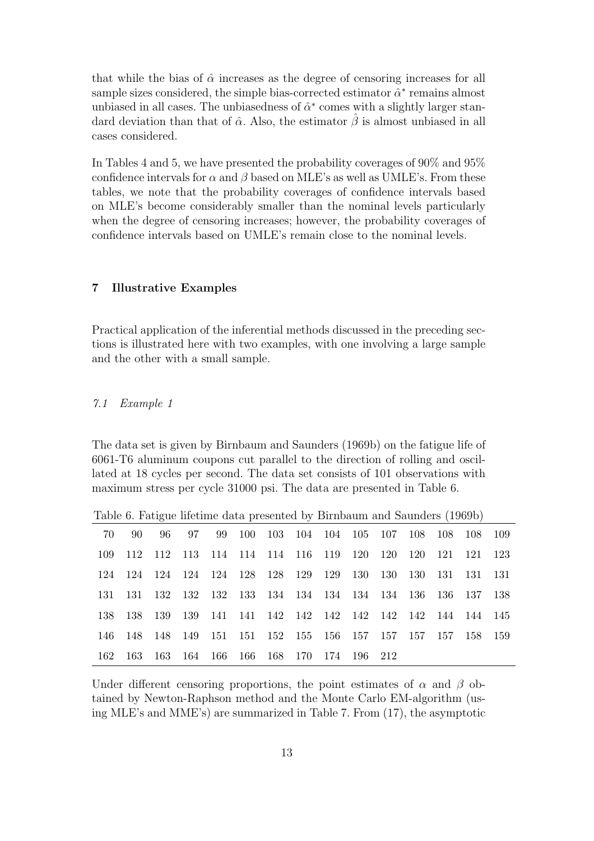that while the bias of  $\hat{\alpha}$  increases as the degree of censoring increases for all sample sizes considered, the simple bias-corrected estimator  $\hat{\alpha}^*$  remains almost unbiased in all cases. The unbiasedness of  $\hat{\alpha}^*$  comes with a slightly larger standard deviation than that of  $\hat{\alpha}$ . Also, the estimator  $\hat{\beta}$  is almost unbiased in all cases considered.

In Tables 4 and 5, we have presented the probability coverages of 90% and 95% confidence intervals for  $\alpha$  and  $\beta$  based on MLE's as well as UMLE's. From these tables, we note that the probability coverages of confidence intervals based on MLE's become considerably smaller than the nominal levels particularly when the degree of censoring increases; however, the probability coverages of confidence intervals based on UMLE's remain close to the nominal levels.

## 7 Illustrative Examples

Practical application of the inferential methods discussed in the preceding sections is illustrated here with two examples, with one involving a large sample and the other with a small sample.

#### 7.1 Example 1

The data set is given by Birnbaum and Saunders (1969b) on the fatigue life of 6061-T6 aluminum coupons cut parallel to the direction of rolling and oscillated at 18 cycles per second. The data set consists of 101 observations with maximum stress per cycle 31000 psi. The data are presented in Table 6.

|  |  |  |  | 70 90 96 97 99 100 103 104 104 105 107 108 108 108 109      |  |  |  |
|--|--|--|--|-------------------------------------------------------------|--|--|--|
|  |  |  |  | 109 112 112 113 114 114 114 116 119 120 120 120 121 121 123 |  |  |  |
|  |  |  |  | 124 124 124 124 124 128 128 129 129 130 130 130 131 131 131 |  |  |  |
|  |  |  |  | 131 131 132 132 132 133 134 134 134 134 134 136 136 137 138 |  |  |  |
|  |  |  |  |                                                             |  |  |  |
|  |  |  |  | 146 148 148 149 151 151 152 155 156 157 157 157 157 158 159 |  |  |  |
|  |  |  |  | 162 163 163 164 166 166 168 170 174 196 212                 |  |  |  |

Table 6. Fatigue lifetime data presented by Birnbaum and Saunders (1969b)

Under different censoring proportions, the point estimates of  $\alpha$  and  $\beta$  obtained by Newton-Raphson method and the Monte Carlo EM-algorithm (using MLE's and MME's) are summarized in Table 7. From (17), the asymptotic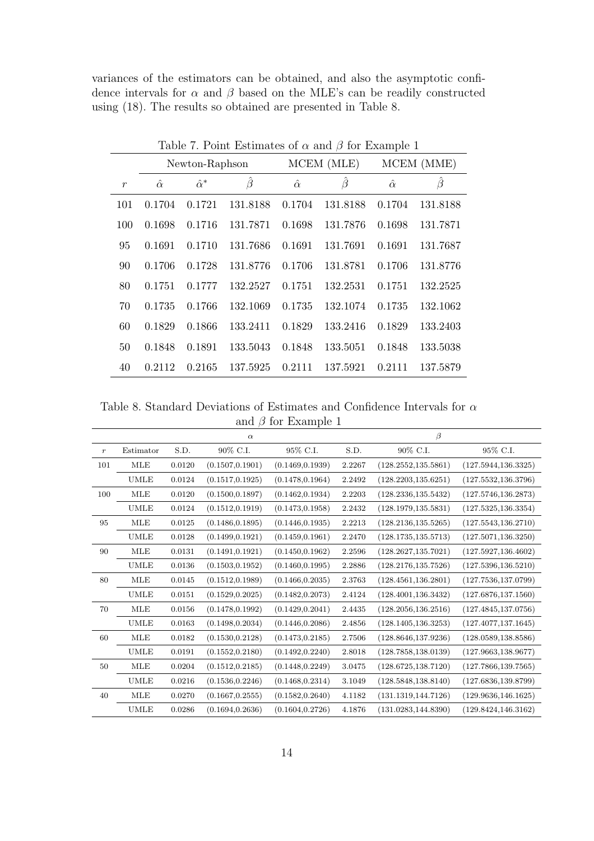variances of the estimators can be obtained, and also the asymptotic confidence intervals for  $\alpha$  and  $\beta$  based on the MLE's can be readily constructed using (18). The results so obtained are presented in Table 8.

|                  |                |                  | Table 7. Point Estimates of $\alpha$ and $\beta$ for Example 1 |                |               |                |          |  |
|------------------|----------------|------------------|----------------------------------------------------------------|----------------|---------------|----------------|----------|--|
|                  |                | Newton-Raphson   |                                                                |                | MCEM (MLE)    | MCEM (MME)     |          |  |
| $\boldsymbol{r}$ | $\hat{\alpha}$ | $\hat{\alpha}^*$ | $\hat{\beta}$                                                  | $\hat{\alpha}$ | $\hat{\beta}$ | $\hat{\alpha}$ | $\beta$  |  |
| 101              | 0.1704         | 0.1721           | 131.8188                                                       | 0.1704         | 131.8188      | 0.1704         | 131.8188 |  |
| 100              | 0.1698         | 0.1716           | 131.7871                                                       | 0.1698         | 131.7876      | 0.1698         | 131.7871 |  |
| 95               | 0.1691         | 0.1710           | 131.7686                                                       | 0.1691         | 131.7691      | 0.1691         | 131.7687 |  |
| 90               | 0.1706         | 0.1728           | 131.8776                                                       | 0.1706         | 131.8781      | 0.1706         | 131.8776 |  |
| 80               | 0.1751         | 0.1777           | 132.2527                                                       | 0.1751         | 132.2531      | 0.1751         | 132.2525 |  |
| 70               | 0.1735         | 0.1766           | 132.1069                                                       | 0.1735         | 132.1074      | 0.1735         | 132.1062 |  |
| 60               | 0.1829         | 0.1866           | 133.2411                                                       | 0.1829         | 133.2416      | 0.1829         | 133.2403 |  |
| 50               | 0.1848         | 0.1891           | 133.5043                                                       | 0.1848         | 133.5051      | 0.1848         | 133.5038 |  |
| 40               | 0.2112         | 0.2165           | 137.5925                                                       | 0.2111         | 137.5921      | 0.2111         | 137.5879 |  |

Table 8. Standard Deviations of Estimates and Confidence Intervals for  $\alpha$ and  $\beta$  for Example 1

|                  |             |        | $\alpha$         |                  |        | $\beta$              |                      |
|------------------|-------------|--------|------------------|------------------|--------|----------------------|----------------------|
| $\boldsymbol{r}$ | Estimator   | S.D.   | 90% C.I.         | 95% C.I.         | S.D.   | 90% C.I.             | 95% C.I.             |
| 101              | MLE         | 0.0120 | (0.1507, 0.1901) | (0.1469, 0.1939) | 2.2267 | (128.2552, 135.5861) | (127.5944, 136.3325) |
|                  | <b>UMLE</b> | 0.0124 | (0.1517, 0.1925) | (0.1478, 0.1964) | 2.2492 | (128.2203, 135.6251) | (127.5532, 136.3796) |
| 100              | MLE         | 0.0120 | (0.1500, 0.1897) | (0.1462, 0.1934) | 2.2203 | (128.2336, 135.5432) | (127.5746, 136.2873) |
|                  | <b>UMLE</b> | 0.0124 | (0.1512, 0.1919) | (0.1473, 0.1958) | 2.2432 | (128.1979, 135.5831) | (127.5325, 136.3354) |
| 95               | MLE         | 0.0125 | (0.1486, 0.1895) | (0.1446, 0.1935) | 2.2213 | (128.2136.135.5265)  | (127.5543, 136.2710) |
|                  | <b>UMLE</b> | 0.0128 | (0.1499, 0.1921) | (0.1459, 0.1961) | 2.2470 | (128.1735, 135.5713) | (127.5071, 136.3250) |
| 90               | MLE         | 0.0131 | (0.1491, 0.1921) | (0.1450, 0.1962) | 2.2596 | (128.2627, 135.7021) | (127.5927, 136.4602) |
|                  | <b>UMLE</b> | 0.0136 | (0.1503, 0.1952) | (0.1460, 0.1995) | 2.2886 | (128.2176, 135.7526) | (127.5396, 136.5210) |
| 80               | MLE         | 0.0145 | (0.1512, 0.1989) | (0.1466, 0.2035) | 2.3763 | (128.4561, 136.2801) | (127.7536, 137.0799) |
|                  | <b>UMLE</b> | 0.0151 | (0.1529, 0.2025) | (0.1482, 0.2073) | 2.4124 | (128.4001, 136.3432) | (127.6876, 137.1560) |
| 70               | <b>MLE</b>  | 0.0156 | (0.1478, 0.1992) | (0.1429, 0.2041) | 2.4435 | (128.2056, 136.2516) | (127.4845, 137.0756) |
|                  | <b>UMLE</b> | 0.0163 | (0.1498, 0.2034) | (0.1446, 0.2086) | 2.4856 | (128.1405, 136.3253) | (127.4077, 137.1645) |
| 60               | MLE         | 0.0182 | (0.1530, 0.2128) | (0.1473, 0.2185) | 2.7506 | (128.8646, 137.9236) | (128.0589, 138.8586) |
|                  | <b>UMLE</b> | 0.0191 | (0.1552, 0.2180) | (0.1492, 0.2240) | 2.8018 | (128.7858, 138.0139) | (127.9663, 138.9677) |
| 50               | MLE         | 0.0204 | (0.1512, 0.2185) | (0.1448, 0.2249) | 3.0475 | (128.6725, 138.7120) | (127.7866, 139.7565) |
|                  | <b>UMLE</b> | 0.0216 | (0.1536, 0.2246) | (0.1468, 0.2314) | 3.1049 | (128.5848.138.8140)  | (127.6836, 139.8799) |
| 40               | MLE         | 0.0270 | (0.1667, 0.2555) | (0.1582, 0.2640) | 4.1182 | (131.1319, 144.7126) | (129.9636, 146.1625) |
|                  | <b>UMLE</b> | 0.0286 | (0.1694, 0.2636) | (0.1604, 0.2726) | 4.1876 | (131.0283, 144.8390) | (129.8424, 146.3162) |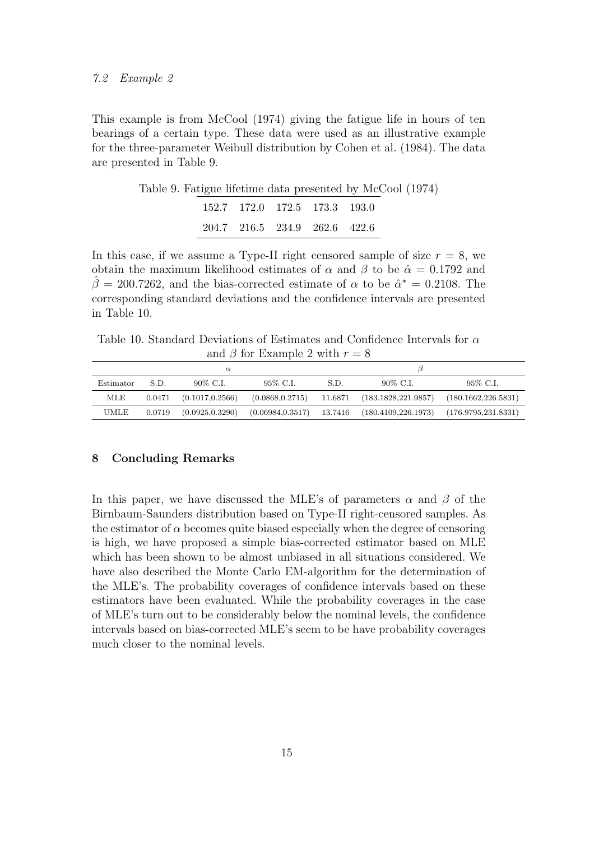This example is from McCool (1974) giving the fatigue life in hours of ten bearings of a certain type. These data were used as an illustrative example for the three-parameter Weibull distribution by Cohen et al. (1984). The data are presented in Table 9.

|  |                               | Table 9. Fatigue lifetime data presented by McCool (1974) |
|--|-------------------------------|-----------------------------------------------------------|
|  | 152.7 172.0 172.5 173.3 193.0 |                                                           |
|  | 204.7 216.5 234.9 262.6 422.6 |                                                           |

In this case, if we assume a Type-II right censored sample of size  $r = 8$ , we obtain the maximum likelihood estimates of  $\alpha$  and  $\beta$  to be  $\hat{\alpha} = 0.1792$  and  $\hat{\beta} = 200.7262$ , and the bias-corrected estimate of  $\alpha$  to be  $\hat{\alpha}^* = 0.2108$ . The corresponding standard deviations and the confidence intervals are presented in Table 10.

Table 10. Standard Deviations of Estimates and Confidence Intervals for  $\alpha$ and  $\beta$  for Example 2 with  $r = 8$ 

| Estimator | S.D.   | 90% C.I.         | 95% C.I.                    | S.D. | 90\% C.I.                                         | 95% C.I.            |
|-----------|--------|------------------|-----------------------------|------|---------------------------------------------------|---------------------|
| MLE       | 0.0471 | (0.1017, 0.2566) |                             |      | $(0.0868, 0.2715)$ 11.6871 $(183.1828, 221.9857)$ | (180.1662.226.5831) |
| UMLE      | 0.0719 | (0.0925, 0.3290) | $(0.06984, 0.3517)$ 13.7416 |      | $(180.4109, 226.1973)$ $(176.9795, 231.8331)$     |                     |

#### 8 Concluding Remarks

In this paper, we have discussed the MLE's of parameters  $\alpha$  and  $\beta$  of the Birnbaum-Saunders distribution based on Type-II right-censored samples. As the estimator of  $\alpha$  becomes quite biased especially when the degree of censoring is high, we have proposed a simple bias-corrected estimator based on MLE which has been shown to be almost unbiased in all situations considered. We have also described the Monte Carlo EM-algorithm for the determination of the MLE's. The probability coverages of confidence intervals based on these estimators have been evaluated. While the probability coverages in the case of MLE's turn out to be considerably below the nominal levels, the confidence intervals based on bias-corrected MLE's seem to be have probability coverages much closer to the nominal levels.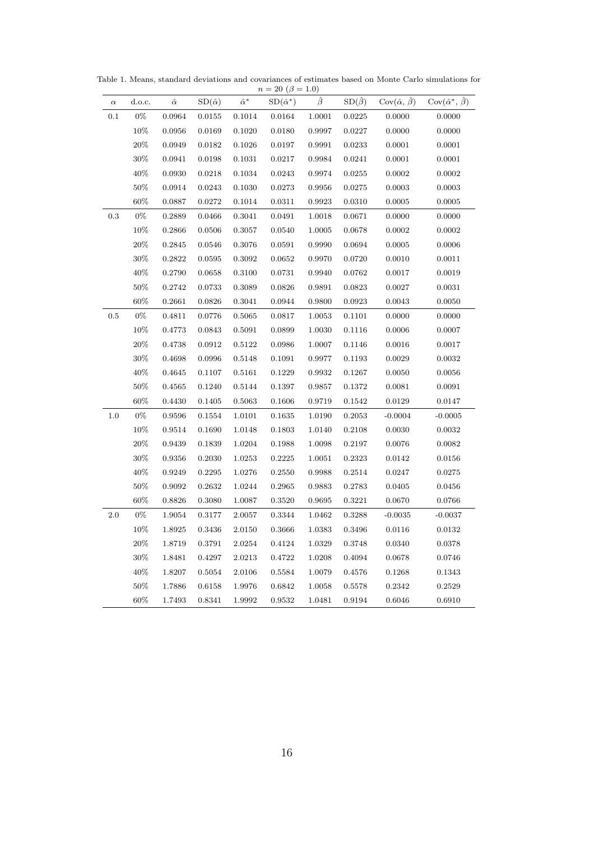| $\alpha$ | d.o.c. | $\hat{\alpha}$ | $SD(\hat{\alpha})$ | $\hat{\alpha}^*$ | $SD(\hat{\alpha}^*)$ | $\hat{\beta}$ | $SD(\hat{\beta})$ | $\text{Cov}(\hat{\alpha}, \hat{\beta})$ | $Cov(\hat{\alpha}^*, \hat{\beta})$ |
|----------|--------|----------------|--------------------|------------------|----------------------|---------------|-------------------|-----------------------------------------|------------------------------------|
| 0.1      | $0\%$  | 0.0964         | 0.0155             | 0.1014           | 0.0164               | $1.0001\,$    | 0.0225            | 0.0000                                  | 0.0000                             |
|          | 10%    | 0.0956         | 0.0169             | 0.1020           | 0.0180               | 0.9997        | 0.0227            | 0.0000                                  | 0.0000                             |
|          | $20\%$ | 0.0949         | 0.0182             | 0.1026           | 0.0197               | 0.9991        | 0.0233            | 0.0001                                  | 0.0001                             |
|          | $30\%$ | 0.0941         | 0.0198             | 0.1031           | 0.0217               | 0.9984        | 0.0241            | 0.0001                                  | 0.0001                             |
|          | 40%    | 0.0930         | 0.0218             | 0.1034           | 0.0243               | 0.9974        | 0.0255            | 0.0002                                  | 0.0002                             |
|          | $50\%$ | 0.0914         | 0.0243             | 0.1030           | 0.0273               | 0.9956        | 0.0275            | 0.0003                                  | 0.0003                             |
|          | $60\%$ | 0.0887         | 0.0272             | 0.1014           | 0.0311               | 0.9923        | 0.0310            | 0.0005                                  | 0.0005                             |
| 0.3      | $0\%$  | 0.2889         | 0.0466             | 0.3041           | 0.0491               | 1.0018        | 0.0671            | 0.0000                                  | 0.0000                             |
|          | 10%    | 0.2866         | 0.0506             | 0.3057           | 0.0540               | 1.0005        | 0.0678            | 0.0002                                  | 0.0002                             |
|          | $20\%$ | 0.2845         | 0.0546             | 0.3076           | 0.0591               | 0.9990        | 0.0694            | 0.0005                                  | 0.0006                             |
|          | $30\%$ | 0.2822         | 0.0595             | 0.3092           | 0.0652               | 0.9970        | 0.0720            | 0.0010                                  | 0.0011                             |
|          | 40\%   | 0.2790         | 0.0658             | $0.3100\,$       | 0.0731               | 0.9940        | 0.0762            | 0.0017                                  | 0.0019                             |
|          | $50\%$ | 0.2742         | 0.0733             | 0.3089           | 0.0826               | 0.9891        | 0.0823            | 0.0027                                  | 0.0031                             |
|          | $60\%$ | 0.2661         | 0.0826             | 0.3041           | 0.0944               | 0.9800        | 0.0923            | 0.0043                                  | 0.0050                             |
| $0.5\,$  | $0\%$  | 0.4811         | 0.0776             | 0.5065           | 0.0817               | 1.0053        | 0.1101            | 0.0000                                  | 0.0000                             |
|          | 10%    | 0.4773         | 0.0843             | 0.5091           | 0.0899               | 1.0030        | 0.1116            | 0.0006                                  | 0.0007                             |
|          | $20\%$ | 0.4738         | 0.0912             | 0.5122           | 0.0986               | 1.0007        | 0.1146            | 0.0016                                  | 0.0017                             |
|          | $30\%$ | 0.4698         | 0.0996             | 0.5148           | 0.1091               | 0.9977        | 0.1193            | 0.0029                                  | 0.0032                             |
|          | 40\%   | 0.4645         | 0.1107             | 0.5161           | 0.1229               | 0.9932        | 0.1267            | 0.0050                                  | 0.0056                             |
|          | $50\%$ | 0.4565         | 0.1240             | 0.5144           | 0.1397               | 0.9857        | 0.1372            | 0.0081                                  | 0.0091                             |
|          | $60\%$ | 0.4430         | 0.1405             | 0.5063           | 0.1606               | 0.9719        | 0.1542            | 0.0129                                  | 0.0147                             |
| 1.0      | $0\%$  | 0.9596         | 0.1554             | 1.0101           | 0.1635               | 1.0190        | 0.2053            | $-0.0004$                               | $-0.0005$                          |
|          | 10%    | 0.9514         | 0.1690             | 1.0148           | 0.1803               | 1.0140        | 0.2108            | 0.0030                                  | 0.0032                             |
|          | $20\%$ | 0.9439         | 0.1839             | 1.0204           | 0.1988               | 1.0098        | 0.2197            | 0.0076                                  | 0.0082                             |
|          | $30\%$ | 0.9356         | 0.2030             | 1.0253           | 0.2225               | 1.0051        | 0.2323            | 0.0142                                  | 0.0156                             |
|          | 40%    | 0.9249         | 0.2295             | 1.0276           | 0.2550               | 0.9988        | 0.2514            | 0.0247                                  | 0.0275                             |
|          | $50\%$ | 0.9092         | 0.2632             | 1.0244           | 0.2965               | 0.9883        | 0.2783            | 0.0405                                  | 0.0456                             |
|          | $60\%$ | 0.8826         | 0.3080             | 1.0087           | 0.3520               | 0.9695        | 0.3221            | 0.0670                                  | 0.0766                             |
| 2.0      | $0\%$  | 1.9054         | 0.3177             | 2.0057           | 0.3344               | 1.0462        | 0.3288            | $-0.0035$                               | $-0.0037$                          |
|          | 10%    | 1.8925         | 0.3436             | 2.0150           | 0.3666               | 1.0383        | 0.3496            | 0.0116                                  | 0.0132                             |
|          | $20\%$ | 1.8719         | 0.3791             | 2.0254           | 0.4124               | 1.0329        | 0.3748            | 0.0340                                  | 0.0378                             |
|          | $30\%$ | 1.8481         | 0.4297             | 2.0213           | 0.4722               | 1.0208        | 0.4094            | 0.0678                                  | 0.0746                             |
|          | 40%    | 1.8207         | 0.5054             | 2.0106           | 0.5584               | 1.0079        | 0.4576            | 0.1268                                  | 0.1343                             |
|          | $50\%$ | 1.7886         | 0.6158             | 1.9976           | 0.6842               | 1.0058        | 0.5578            | 0.2342                                  | 0.2529                             |
|          | $60\%$ | 1.7493         | 0.8341             | 1.9992           | 0.9532               | 1.0481        | 0.9194            | 0.6046                                  | 0.6910                             |

Table 1. Means, standard deviations and covariances of estimates based on Monte Carlo simulations for  $n = 20 \; (\beta = 1.0)$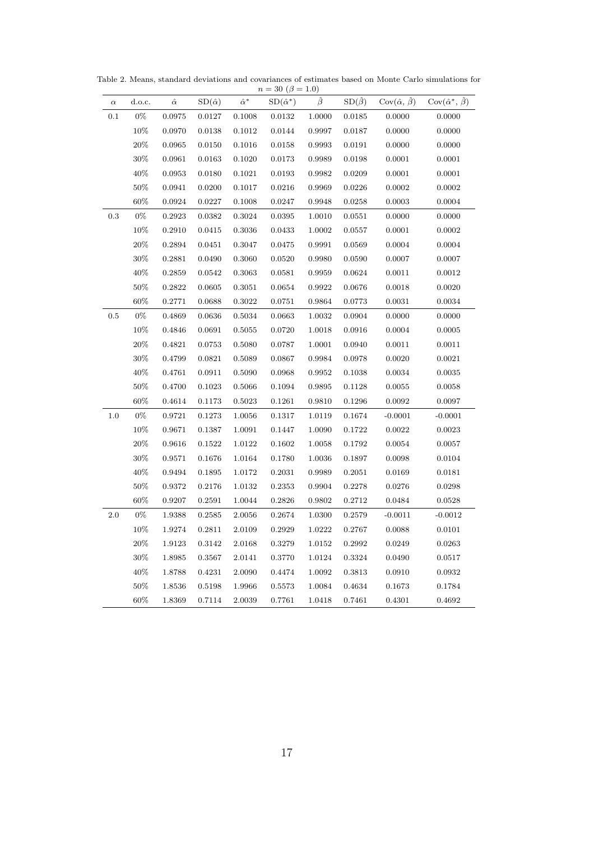| $\alpha$ | d.o.c. | $\hat{\alpha}$ | $SD(\hat{\alpha})$ | $\hat{\alpha}^*$ | $SD(\hat{\alpha}^*)$ | $\hat{\beta}$ | $SD(\hat{\beta})$ | $\text{Cov}(\hat{\alpha}, \hat{\beta})$ | $Cov(\hat{\alpha}^*, \hat{\beta})$ |
|----------|--------|----------------|--------------------|------------------|----------------------|---------------|-------------------|-----------------------------------------|------------------------------------|
| 0.1      | $0\%$  | 0.0975         | 0.0127             | 0.1008           | 0.0132               | 1.0000        | 0.0185            | 0.0000                                  | 0.0000                             |
|          | 10%    | 0.0970         | 0.0138             | 0.1012           | 0.0144               | 0.9997        | 0.0187            | 0.0000                                  | 0.0000                             |
|          | 20%    | 0.0965         | 0.0150             | 0.1016           | 0.0158               | 0.9993        | 0.0191            | 0.0000                                  | 0.0000                             |
|          | 30%    | 0.0961         | 0.0163             | 0.1020           | 0.0173               | 0.9989        | 0.0198            | 0.0001                                  | 0.0001                             |
|          | 40\%   | 0.0953         | 0.0180             | 0.1021           | 0.0193               | 0.9982        | 0.0209            | 0.0001                                  | 0.0001                             |
|          | $50\%$ | 0.0941         | 0.0200             | 0.1017           | 0.0216               | 0.9969        | 0.0226            | 0.0002                                  | 0.0002                             |
|          | $60\%$ | 0.0924         | 0.0227             | 0.1008           | 0.0247               | 0.9948        | 0.0258            | 0.0003                                  | 0.0004                             |
| 0.3      | $0\%$  | 0.2923         | 0.0382             | 0.3024           | 0.0395               | 1.0010        | 0.0551            | 0.0000                                  | 0.0000                             |
|          | 10%    | 0.2910         | 0.0415             | 0.3036           | 0.0433               | 1.0002        | 0.0557            | 0.0001                                  | 0.0002                             |
|          | 20%    | 0.2894         | 0.0451             | 0.3047           | 0.0475               | 0.9991        | 0.0569            | 0.0004                                  | 0.0004                             |
|          | 30%    | 0.2881         | 0.0490             | 0.3060           | 0.0520               | 0.9980        | 0.0590            | 0.0007                                  | $0.0007\,$                         |
|          | 40%    | 0.2859         | 0.0542             | 0.3063           | 0.0581               | 0.9959        | 0.0624            | 0.0011                                  | 0.0012                             |
|          | 50%    | 0.2822         | 0.0605             | 0.3051           | 0.0654               | 0.9922        | 0.0676            | 0.0018                                  | 0.0020                             |
|          | $60\%$ | 0.2771         | 0.0688             | 0.3022           | 0.0751               | 0.9864        | 0.0773            | 0.0031                                  | 0.0034                             |
| 0.5      | $0\%$  | 0.4869         | 0.0636             | 0.5034           | 0.0663               | 1.0032        | 0.0904            | 0.0000                                  | 0.0000                             |
|          | 10%    | 0.4846         | 0.0691             | 0.5055           | 0.0720               | 1.0018        | 0.0916            | 0.0004                                  | 0.0005                             |
|          | $20\%$ | 0.4821         | 0.0753             | 0.5080           | 0.0787               | 1.0001        | 0.0940            | 0.0011                                  | 0.0011                             |
|          | $30\%$ | 0.4799         | 0.0821             | 0.5089           | 0.0867               | 0.9984        | 0.0978            | 0.0020                                  | 0.0021                             |
|          | $40\%$ | 0.4761         | 0.0911             | 0.5090           | 0.0968               | 0.9952        | 0.1038            | 0.0034                                  | 0.0035                             |
|          | 50%    | 0.4700         | 0.1023             | 0.5066           | 0.1094               | 0.9895        | 0.1128            | 0.0055                                  | 0.0058                             |
|          | 60%    | 0.4614         | 0.1173             | 0.5023           | 0.1261               | 0.9810        | 0.1296            | 0.0092                                  | 0.0097                             |
| 1.0      | $0\%$  | 0.9721         | 0.1273             | 1.0056           | 0.1317               | 1.0119        | 0.1674            | $-0.0001$                               | $-0.0001$                          |
|          | $10\%$ | 0.9671         | 0.1387             | 1.0091           | 0.1447               | 1.0090        | 0.1722            | 0.0022                                  | 0.0023                             |
|          | $20\%$ | 0.9616         | 0.1522             | 1.0122           | 0.1602               | 1.0058        | 0.1792            | 0.0054                                  | 0.0057                             |
|          | $30\%$ | 0.9571         | 0.1676             | 1.0164           | 0.1780               | 1.0036        | 0.1897            | 0.0098                                  | 0.0104                             |
|          | 40\%   | $\,0.9494\,$   | 0.1895             | 1.0172           | 0.2031               | 0.9989        | 0.2051            | 0.0169                                  | 0.0181                             |
|          | $50\%$ | 0.9372         | 0.2176             | 1.0132           | 0.2353               | 0.9904        | 0.2278            | 0.0276                                  | 0.0298                             |
|          | 60%    | 0.9207         | 0.2591             | 1.0044           | 0.2826               | 0.9802        | 0.2712            | 0.0484                                  | 0.0528                             |
| 2.0      | $0\%$  | 1.9388         | 0.2585             | 2.0056           | 0.2674               | 1.0300        | 0.2579            | $-0.0011$                               | $-0.0012$                          |
|          | 10%    | 1.9274         | 0.2811             | 2.0109           | 0.2929               | 1.0222        | 0.2767            | 0.0088                                  | 0.0101                             |
|          | 20%    | 1.9123         | 0.3142             | 2.0168           | 0.3279               | 1.0152        | 0.2992            | 0.0249                                  | 0.0263                             |
|          | 30%    | 1.8985         | 0.3567             | 2.0141           | 0.3770               | 1.0124        | 0.3324            | 0.0490                                  | 0.0517                             |
|          | 40\%   | 1.8788         | 0.4231             | 2.0090           | 0.4474               | 1.0092        | 0.3813            | 0.0910                                  | 0.0932                             |
|          | $50\%$ | 1.8536         | 0.5198             | 1.9966           | 0.5573               | 1.0084        | 0.4634            | 0.1673                                  | 0.1784                             |
|          | $60\%$ | 1.8369         | 0.7114             | 2.0039           | 0.7761               | 1.0418        | 0.7461            | 0.4301                                  | 0.4692                             |

Table 2. Means, standard deviations and covariances of estimates based on Monte Carlo simulations for  $n = 30 \; (\beta = 1.0)$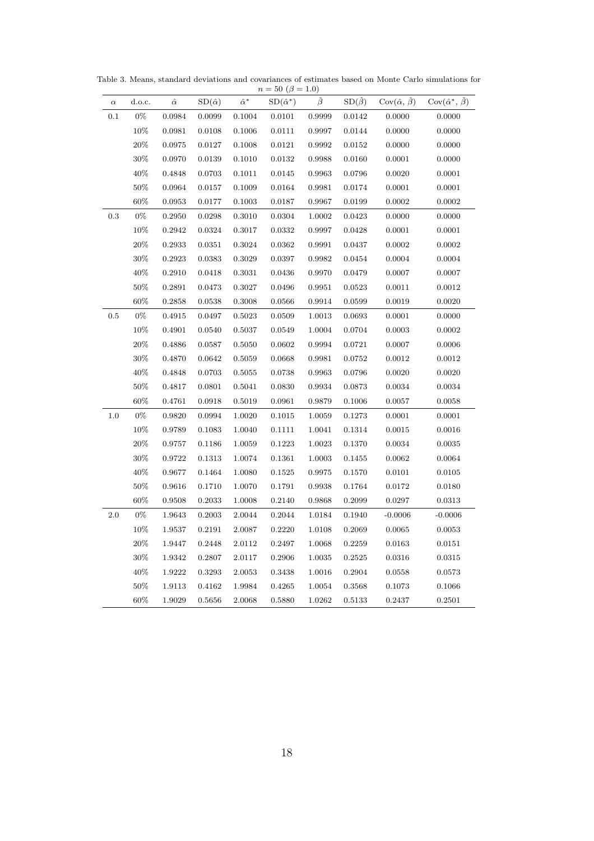| $\alpha$ | d.o.c. | $\hat{\alpha}$ | $SD(\hat{\alpha})$ | $\hat{\alpha}^*$ | $SD(\hat{\alpha}^*)$ | $\hat{\beta}$ | $SD(\hat{\beta})$ | $\text{Cov}(\hat{\alpha}, \hat{\beta})$ | $Cov(\hat{\alpha}^*, \hat{\beta})$ |
|----------|--------|----------------|--------------------|------------------|----------------------|---------------|-------------------|-----------------------------------------|------------------------------------|
| 0.1      | $0\%$  | 0.0984         | 0.0099             | 0.1004           | 0.0101               | 0.9999        | 0.0142            | 0.0000                                  | 0.0000                             |
|          | 10%    | 0.0981         | 0.0108             | 0.1006           | 0.0111               | 0.9997        | 0.0144            | 0.0000                                  | 0.0000                             |
|          | $20\%$ | 0.0975         | 0.0127             | 0.1008           | 0.0121               | 0.9992        | 0.0152            | 0.0000                                  | 0.0000                             |
|          | $30\%$ | 0.0970         | 0.0139             | 0.1010           | 0.0132               | 0.9988        | 0.0160            | 0.0001                                  | 0.0000                             |
|          | 40\%   | 0.4848         | 0.0703             | 0.1011           | 0.0145               | 0.9963        | 0.0796            | 0.0020                                  | 0.0001                             |
|          | $50\%$ | 0.0964         | 0.0157             | 0.1009           | 0.0164               | 0.9981        | 0.0174            | 0.0001                                  | 0.0001                             |
|          | $60\%$ | 0.0953         | 0.0177             | 0.1003           | 0.0187               | 0.9967        | 0.0199            | 0.0002                                  | 0.0002                             |
| 0.3      | $0\%$  | 0.2950         | 0.0298             | 0.3010           | 0.0304               | 1.0002        | 0.0423            | 0.0000                                  | 0.0000                             |
|          | 10%    | 0.2942         | 0.0324             | 0.3017           | 0.0332               | 0.9997        | 0.0428            | 0.0001                                  | 0.0001                             |
|          | 20%    | 0.2933         | 0.0351             | 0.3024           | 0.0362               | 0.9991        | 0.0437            | 0.0002                                  | 0.0002                             |
|          | 30%    | 0.2923         | 0.0383             | 0.3029           | 0.0397               | 0.9982        | 0.0454            | 0.0004                                  | 0.0004                             |
|          | 40%    | 0.2910         | 0.0418             | 0.3031           | 0.0436               | 0.9970        | 0.0479            | 0.0007                                  | 0.0007                             |
|          | $50\%$ | 0.2891         | 0.0473             | 0.3027           | 0.0496               | 0.9951        | 0.0523            | 0.0011                                  | 0.0012                             |
|          | 60%    | 0.2858         | 0.0538             | 0.3008           | 0.0566               | 0.9914        | 0.0599            | 0.0019                                  | 0.0020                             |
| 0.5      | $0\%$  | 0.4915         | 0.0497             | 0.5023           | 0.0509               | 1.0013        | 0.0693            | 0.0001                                  | 0.0000                             |
|          | 10%    | 0.4901         | 0.0540             | 0.5037           | 0.0549               | 1.0004        | 0.0704            | 0.0003                                  | 0.0002                             |
|          | $20\%$ | 0.4886         | 0.0587             | 0.5050           | 0.0602               | 0.9994        | 0.0721            | 0.0007                                  | 0.0006                             |
|          | $30\%$ | 0.4870         | 0.0642             | 0.5059           | 0.0668               | 0.9981        | 0.0752            | 0.0012                                  | 0.0012                             |
|          | $40\%$ | 0.4848         | 0.0703             | 0.5055           | 0.0738               | 0.9963        | 0.0796            | 0.0020                                  | 0.0020                             |
|          | $50\%$ | 0.4817         | 0.0801             | 0.5041           | 0.0830               | 0.9934        | 0.0873            | 0.0034                                  | 0.0034                             |
|          | $60\%$ | 0.4761         | 0.0918             | 0.5019           | 0.0961               | 0.9879        | 0.1006            | 0.0057                                  | 0.0058                             |
| 1.0      | $0\%$  | 0.9820         | 0.0994             | 1.0020           | 0.1015               | 1.0059        | 0.1273            | 0.0001                                  | 0.0001                             |
|          | $10\%$ | 0.9789         | 0.1083             | 1.0040           | 0.1111               | 1.0041        | 0.1314            | 0.0015                                  | 0.0016                             |
|          | $20\%$ | 0.9757         | 0.1186             | 1.0059           | 0.1223               | 1.0023        | 0.1370            | 0.0034                                  | 0.0035                             |
|          | $30\%$ | 0.9722         | 0.1313             | 1.0074           | 0.1361               | 1.0003        | 0.1455            | 0.0062                                  | 0.0064                             |
|          | 40\%   | 0.9677         | 0.1464             | 1.0080           | 0.1525               | 0.9975        | 0.1570            | 0.0101                                  | 0.0105                             |
|          | $50\%$ | 0.9616         | 0.1710             | 1.0070           | 0.1791               | 0.9938        | 0.1764            | 0.0172                                  | 0.0180                             |
|          | 60%    | 0.9508         | 0.2033             | 1.0008           | 0.2140               | 0.9868        | 0.2099            | 0.0297                                  | 0.0313                             |
| 2.0      | $0\%$  | 1.9643         | 0.2003             | 2.0044           | 0.2044               | 1.0184        | 0.1940            | $-0.0006$                               | $-0.0006$                          |
|          | 10%    | 1.9537         | 0.2191             | 2.0087           | 0.2220               | 1.0108        | 0.2069            | 0.0065                                  | 0.0053                             |
|          | $20\%$ | 1.9447         | 0.2448             | 2.0112           | 0.2497               | 1.0068        | 0.2259            | 0.0163                                  | 0.0151                             |
|          | $30\%$ | 1.9342         | 0.2807             | 2.0117           | 0.2906               | 1.0035        | 0.2525            | 0.0316                                  | 0.0315                             |
|          | 40%    | 1.9222         | 0.3293             | $2.0053\,$       | 0.3438               | 1.0016        | 0.2904            | 0.0558                                  | 0.0573                             |
|          | $50\%$ | 1.9113         | 0.4162             | 1.9984           | 0.4265               | 1.0054        | 0.3568            | 0.1073                                  | 0.1066                             |
|          | $60\%$ | 1.9029         | 0.5656             | 2.0068           | 0.5880               | 1.0262        | 0.5133            | 0.2437                                  | 0.2501                             |

Table 3. Means, standard deviations and covariances of estimates based on Monte Carlo simulations for  $n = 50 \; (\beta = 1.0)$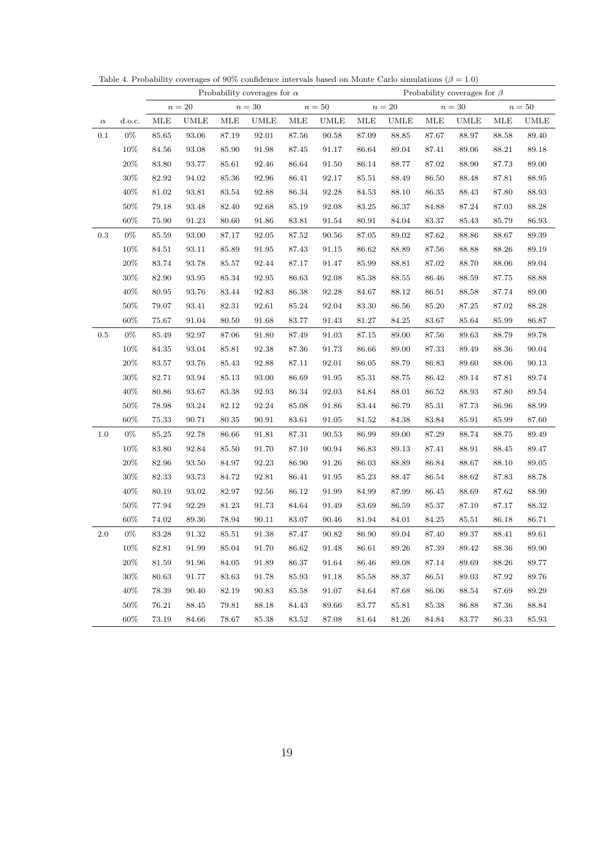|           |        |            |                      |           | Probability coverages for $\alpha$ |           |             |           |             |            | Probability coverages for $\beta$ |           |             |
|-----------|--------|------------|----------------------|-----------|------------------------------------|-----------|-------------|-----------|-------------|------------|-----------------------------------|-----------|-------------|
|           |        |            | $n=20\,$             |           | $n=30$                             |           | $n=50$      |           | $n=20\,$    |            | $n=30\,$                          |           | $n=50$      |
| $\alpha$  | d.o.c. | <b>MLE</b> | <b>UMLE</b>          | MLE       | UMLE                               | MLE       | <b>UMLE</b> | MLE       | <b>UMLE</b> | <b>MLE</b> | <b>UMLE</b>                       | MLE       | <b>UMLE</b> |
| $0.1\,$   | $0\%$  | 85.65      | 93.06                | 87.19     | 92.01                              | 87.56     | 90.58       | 87.09     | 88.85       | 87.67      | 88.97                             | 88.58     | 89.40       |
|           | $10\%$ | 84.56      | 93.08                | 85.90     | $\boldsymbol{91.98}$               | 87.45     | 91.17       | 86.64     | 89.04       | $87.41\,$  | 89.06                             | 88.21     | 89.18       |
|           | 20%    | 83.80      | 93.77                | 85.61     | $\boldsymbol{92.46}$               | 86.64     | $91.50\,$   | 86.14     | 88.77       | $87.02\,$  | 88.90                             | 87.73     | 89.00       |
|           | $30\%$ | 82.92      | 94.02                | 85.36     | 92.96                              | $86.41\,$ | 92.17       | 85.51     | 88.49       | 86.50      | 88.48                             | 87.81     | 88.95       |
|           | 40\%   | 81.02      | 93.81                | $83.54\,$ | 92.88                              | 86.34     | $92.28\,$   | $84.53\,$ | 88.10       | $86.35\,$  | 88.43                             | 87.80     | $88.93\,$   |
|           | $50\%$ | 79.18      | 93.48                | 82.40     | 92.68                              | 85.19     | 92.08       | 83.25     | 86.37       | 84.88      | 87.24                             | 87.03     | 88.28       |
|           | $60\%$ | 75.90      | 91.23                | 80.60     | 91.86                              | 83.81     | 91.54       | $80.91\,$ | 84.04       | 83.37      | 85.43                             | 85.79     | 86.93       |
| $\rm 0.3$ | $0\%$  | 85.59      | 93.00                | 87.17     | $92.05\,$                          | $87.52\,$ | 90.56       | 87.05     | 89.02       | 87.62      | 88.86                             | 88.67     | 89.39       |
|           | 10%    | 84.51      | 93.11                | 85.89     | 91.95                              | 87.43     | 91.15       | 86.62     | 88.89       | 87.56      | 88.88                             | 88.26     | 89.19       |
|           | $20\%$ | 83.74      | 93.78                | $85.57\,$ | 92.44                              | 87.17     | 91.47       | 85.99     | 88.81       | $87.02\,$  | 88.70                             | 88.06     | $89.04\,$   |
|           | $30\%$ | 82.90      | 93.95                | 85.34     | $\boldsymbol{92.95}$               | 86.63     | 92.08       | 85.38     | 88.55       | 86.46      | 88.59                             | 87.75     | 88.88       |
|           | 40\%   | 80.95      | 93.76                | 83.44     | 92.83                              | 86.38     | 92.28       | 84.67     | 88.12       | 86.51      | 88.58                             | 87.74     | 89.00       |
|           | $50\%$ | 79.07      | 93.41                | $82.31\,$ | $92.61\,$                          | 85.24     | 92.04       | 83.30     | 86.56       | 85.20      | 87.25                             | $87.02\,$ | $88.28\,$   |
|           | 60%    | $75.67\,$  | 91.04                | $80.50\,$ | 91.68                              | 83.77     | 91.43       | 81.27     | 84.25       | $83.67\,$  | 85.64                             | 85.99     | 86.87       |
| $0.5\,$   | $0\%$  | 85.49      | 92.97                | 87.06     | 91.80                              | 87.49     | 91.03       | 87.15     | 89.00       | 87.56      | 89.63                             | 88.79     | 89.78       |
|           | 10%    | 84.35      | 93.04                | $85.81\,$ | 92.38                              | 87.36     | 91.73       | $86.66\,$ | 89.00       | 87.33      | 89.49                             | $88.36\,$ | $90.04\,$   |
|           | $20\%$ | 83.57      | 93.76                | 85.43     | 92.88                              | 87.11     | 92.01       | 86.05     | 88.79       | 86.83      | 89.60                             | 88.06     | $90.13\,$   |
|           | $30\%$ | 82.71      | 93.94                | 85.13     | 93.00                              | 86.69     | 91.95       | 85.31     | 88.75       | $86.42\,$  | 89.14                             | 87.81     | 89.74       |
|           | 40\%   | 80.86      | 93.67                | 83.38     | 92.93                              | $86.34\,$ | 92.03       | 84.84     | $88.01\,$   | 86.52      | 88.93                             | 87.80     | $89.54\,$   |
|           | $50\%$ | 78.98      | 93.24                | 82.12     | 92.24                              | 85.08     | 91.86       | 83.44     | 86.79       | 85.31      | 87.73                             | 86.96     | 88.99       |
|           | 60%    | 75.33      | 90.71                | $80.35\,$ | 90.91                              | 83.61     | 91.05       | $81.52\,$ | 84.38       | $83.84\,$  | 85.91                             | 85.99     | 87.60       |
| 1.0       | $0\%$  | 85.25      | 92.78                | 86.66     | 91.81                              | 87.31     | 90.53       | 86.99     | 89.00       | 87.29      | 88.74                             | 88.75     | 89.49       |
|           | 10%    | 83.80      | $\boldsymbol{92.84}$ | 85.50     | 91.70                              | 87.10     | 90.94       | 86.83     | 89.13       | $87.41\,$  | 88.91                             | $88.45\,$ | 89.47       |
|           | 20%    | 82.96      | 93.50                | 84.97     | 92.23                              | 86.90     | 91.26       | 86.03     | 88.89       | $86.84\,$  | 88.67                             | 88.10     | $89.05\,$   |
|           | $30\%$ | 82.33      | 93.73                | 84.72     | 92.81                              | $86.41\,$ | 91.95       | 85.23     | 88.47       | $86.54\,$  | 88.62                             | 87.83     | 88.78       |
|           | $40\%$ | 80.19      | 93.02                | 82.97     | $92.56\,$                          | 86.12     | 91.99       | 84.99     | 87.99       | 86.45      | 88.69                             | 87.62     | 88.90       |
|           | $50\%$ | 77.94      | 92.29                | $81.23\,$ | 91.73                              | $84.64\,$ | 91.49       | 83.69     | 86.59       | $85.37\,$  | 87.10                             | 87.17     | $88.32\,$   |
|           | $60\%$ | $74.02\,$  | 89.36                | 78.94     | 90.11                              | 83.07     | 90.46       | 81.94     | 84.01       | 84.25      | 85.51                             | 86.18     | 86.71       |
| $2.0\,$   | $0\%$  | 83.28      | $91.32\,$            | 85.51     | $91.38\,$                          | $87.47\,$ | 90.82       | 86.90     | 89.04       | 87.40      | 89.37                             | 88.41     | 89.61       |
|           | 10%    | 82.81      | 91.99                | 85.04     | 91.70                              | 86.62     | 91.48       | 86.61     | 89.26       | 87.39      | 89.42                             | 88.36     | 89.90       |
|           | $20\%$ | 81.59      | 91.96                | 84.05     | 91.89                              | 86.37     | 91.64       | 86.46     | 89.08       | 87.14      | 89.69                             | 88.26     | 89.77       |
|           | 30%    | 80.63      | 91.77                | 83.63     | 91.78                              | 85.93     | 91.18       | 85.58     | 88.37       | 86.51      | 89.03                             | 87.92     | 89.76       |
|           | 40%    | 78.39      | 90.40                | 82.19     | 90.83                              | 85.58     | 91.07       | 84.64     | 87.68       | 86.06      | 88.54                             | 87.69     | 89.29       |
|           | $50\%$ | 76.21      | 88.45                | 79.81     | 88.18                              | 84.43     | 89.66       | 83.77     | 85.81       | 85.38      | 86.88                             | 87.36     | 88.84       |
|           | 60%    | 73.19      | 84.66                | 78.67     | 85.38                              | 83.52     | 87.08       | 81.64     | 81.26       | 84.84      | 83.77                             | 86.33     | $85.93\,$   |

Table 4. Probability coverages of 90% confidence intervals based on Monte Carlo simulations ( $\beta = 1.0$ )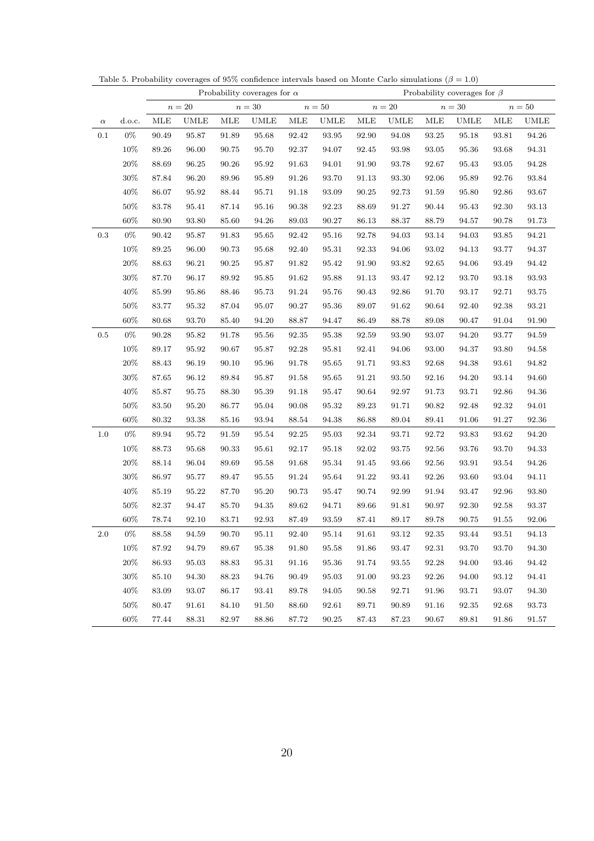|           |        |            |             |           | Probability coverages for $\alpha$ |                      |                      |                      |              |                      | Probability coverages for $\beta$ |                      |                      |
|-----------|--------|------------|-------------|-----------|------------------------------------|----------------------|----------------------|----------------------|--------------|----------------------|-----------------------------------|----------------------|----------------------|
|           |        |            | $n=20\,$    |           | $n=30$                             |                      | $n=50$               |                      | $n=20\,$     |                      | $n=30\,$                          |                      | $n=50$               |
| $\alpha$  | d.o.c. | <b>MLE</b> | <b>UMLE</b> | MLE       | UMLE                               | MLE                  | <b>UMLE</b>          | MLE                  | <b>UMLE</b>  | <b>MLE</b>           | <b>UMLE</b>                       | MLE                  | <b>UMLE</b>          |
| $0.1\,$   | $0\%$  | 90.49      | 95.87       | 91.89     | 95.68                              | 92.42                | 93.95                | 92.90                | 94.08        | 93.25                | 95.18                             | 93.81                | $94.26\,$            |
|           | $10\%$ | 89.26      | 96.00       | 90.75     | $95.70\,$                          | 92.37                | 94.07                | $\boldsymbol{92.45}$ | 93.98        | 93.05                | 95.36                             | 93.68                | $94.31\,$            |
|           | $20\%$ | 88.69      | 96.25       | $90.26\,$ | $95.92\,$                          | $\boldsymbol{91.63}$ | 94.01                | 91.90                | 93.78        | 92.67                | 95.43                             | $93.05\,$            | 94.28                |
|           | $30\%$ | 87.84      | 96.20       | 89.96     | 95.89                              | 91.26                | 93.70                | 91.13                | 93.30        | 92.06                | 95.89                             | 92.76                | $\mathbf{93.84}$     |
|           | 40\%   | 86.07      | 95.92       | $88.44\,$ | 95.71                              | 91.18                | 93.09                | 90.25                | 92.73        | 91.59                | 95.80                             | 92.86                | $93.67\,$            |
|           | $50\%$ | 83.78      | 95.41       | 87.14     | 95.16                              | 90.38                | 92.23                | 88.69                | 91.27        | 90.44                | 95.43                             | 92.30                | $93.13\,$            |
|           | $60\%$ | 80.90      | 93.80       | 85.60     | 94.26                              | $89.03\,$            | 90.27                | 86.13                | 88.37        | 88.79                | 94.57                             | 90.78                | $91.73\,$            |
| $\rm 0.3$ | $0\%$  | 90.42      | 95.87       | 91.83     | $\boldsymbol{95.65}$               | 92.42                | 95.16                | 92.78                | 94.03        | $93.14\,$            | 94.03                             | 93.85                | $94.21\,$            |
|           | 10%    | 89.25      | 96.00       | 90.73     | 95.68                              | 92.40                | 95.31                | 92.33                | 94.06        | $93.02\,$            | 94.13                             | 93.77                | $94.37\,$            |
|           | $20\%$ | 88.63      | 96.21       | $90.25\,$ | 95.87                              | $\boldsymbol{91.82}$ | 95.42                | 91.90                | 93.82        | $\boldsymbol{92.65}$ | 94.06                             | 93.49                | 94.42                |
|           | $30\%$ | 87.70      | 96.17       | $89.92\,$ | 95.85                              | 91.62                | 95.88                | 91.13                | 93.47        | 92.12                | 93.70                             | 93.18                | $\boldsymbol{93.93}$ |
|           | 40\%   | 85.99      | 95.86       | 88.46     | 95.73                              | 91.24                | 95.76                | 90.43                | 92.86        | 91.70                | 93.17                             | 92.71                | $\boldsymbol{93.75}$ |
|           | $50\%$ | 83.77      | 95.32       | $87.04\,$ | 95.07                              | $90.27\,$            | 95.36                | 89.07                | 91.62        | 90.64                | 92.40                             | 92.38                | $93.21\,$            |
|           | $60\%$ | 80.68      | 93.70       | 85.40     | $94.20\,$                          | 88.87                | 94.47                | 86.49                | 88.78        | 89.08                | 90.47                             | 91.04                | $91.90\,$            |
| $\rm 0.5$ | $0\%$  | 90.28      | 95.82       | 91.78     | 95.56                              | $\boldsymbol{92.35}$ | 95.38                | 92.59                | 93.90        | 93.07                | 94.20                             | 93.77                | 94.59                |
|           | 10%    | 89.17      | 95.92       | 90.67     | 95.87                              | 92.28                | 95.81                | 92.41                | 94.06        | 93.00                | 94.37                             | $\boldsymbol{93.80}$ | $94.58\,$            |
|           | $20\%$ | 88.43      | 96.19       | 90.10     | 95.96                              | 91.78                | 95.65                | 91.71                | 93.83        | 92.68                | 94.38                             | 93.61                | 94.82                |
|           | $30\%$ | 87.65      | 96.12       | 89.84     | 95.87                              | 91.58                | 95.65                | $91.21\,$            | 93.50        | 92.16                | 94.20                             | 93.14                | 94.60                |
|           | 40\%   | 85.87      | 95.75       | 88.30     | 95.39                              | $91.18\,$            | 95.47                | 90.64                | 92.97        | 91.73                | 93.71                             | 92.86                | $94.36\,$            |
|           | $50\%$ | 83.50      | 95.20       | 86.77     | 95.04                              | 90.08                | 95.32                | 89.23                | 91.71        | $\boldsymbol{90.82}$ | 92.48                             | 92.32                | $94.01\,$            |
|           | $60\%$ | 80.32      | 93.38       | $85.16\,$ | 93.94                              | 88.54                | 94.38                | 86.88                | 89.04        | 89.41                | 91.06                             | 91.27                | $92.36\,$            |
| 1.0       | $0\%$  | 89.94      | 95.72       | 91.59     | 95.54                              | 92.25                | 95.03                | 92.34                | 93.71        | 92.72                | 93.83                             | 93.62                | $94.20\,$            |
|           | 10%    | 88.73      | 95.68       | $90.33\,$ | 95.61                              | 92.17                | 95.18                | 92.02                | 93.75        | $92.56\,$            | 93.76                             | $93.70\,$            | $94.33\,$            |
|           | $20\%$ | 88.14      | 96.04       | 89.69     | 95.58                              | 91.68                | 95.34                | 91.45                | 93.66        | 92.56                | 93.91                             | 93.54                | 94.26                |
|           | $30\%$ | 86.97      | 95.77       | 89.47     | 95.55                              | $91.24\,$            | 95.64                | 91.22                | $\bf{93.41}$ | 92.26                | 93.60                             | 93.04                | 94.11                |
|           | $40\%$ | 85.19      | $95.22\,$   | 87.70     | $95.20\,$                          | 90.73                | 95.47                | 90.74                | 92.99        | 91.94                | 93.47                             | 92.96                | $93.80\,$            |
|           | $50\%$ | 82.37      | 94.47       | 85.70     | 94.35                              | 89.62                | 94.71                | 89.66                | 91.81        | $\boldsymbol{90.97}$ | 92.30                             | 92.58                | $\bf{93.37}$         |
|           | $60\%$ | 78.74      | 92.10       | 83.71     | 92.93                              | 87.49                | 93.59                | 87.41                | 89.17        | 89.78                | 90.75                             | 91.55                | 92.06                |
| $2.0\,$   | $0\%$  | $88.58\,$  | $94.59\,$   | $90.70\,$ | $95.11\,$                          | 92.40                | $\boldsymbol{95.14}$ | 91.61                | 93.12        | $\boldsymbol{92.35}$ | 93.44                             | 93.51                | 94.13                |
|           | 10%    | 87.92      | 94.79       | 89.67     | 95.38                              | 91.80                | 95.58                | 91.86                | 93.47        | 92.31                | 93.70                             | 93.70                | 94.30                |
|           | $20\%$ | $86.93\,$  | 95.03       | 88.83     | 95.31                              | $91.16\,$            | 95.36                | $91.74\,$            | 93.55        | 92.28                | 94.00                             | 93.46                | 94.42                |
|           | 30%    | 85.10      | 94.30       | 88.23     | 94.76                              | 90.49                | 95.03                | 91.00                | 93.23        | 92.26                | 94.00                             | 93.12                | 94.41                |
|           | 40\%   | 83.09      | 93.07       | 86.17     | 93.41                              | 89.78                | 94.05                | 90.58                | 92.71        | 91.96                | 93.71                             | 93.07                | 94.30                |
|           | $50\%$ | 80.47      | 91.61       | 84.10     | 91.50                              | 88.60                | 92.61                | 89.71                | 90.89        | 91.16                | 92.35                             | 92.68                | 93.73                |
|           | 60%    | 77.44      | 88.31       | 82.97     | 88.86                              | 87.72                | 90.25                | 87.43                | 87.23        | 90.67                | 89.81                             | 91.86                | 91.57                |

Table 5. Probability coverages of 95% confidence intervals based on Monte Carlo simulations ( $\beta = 1.0$ )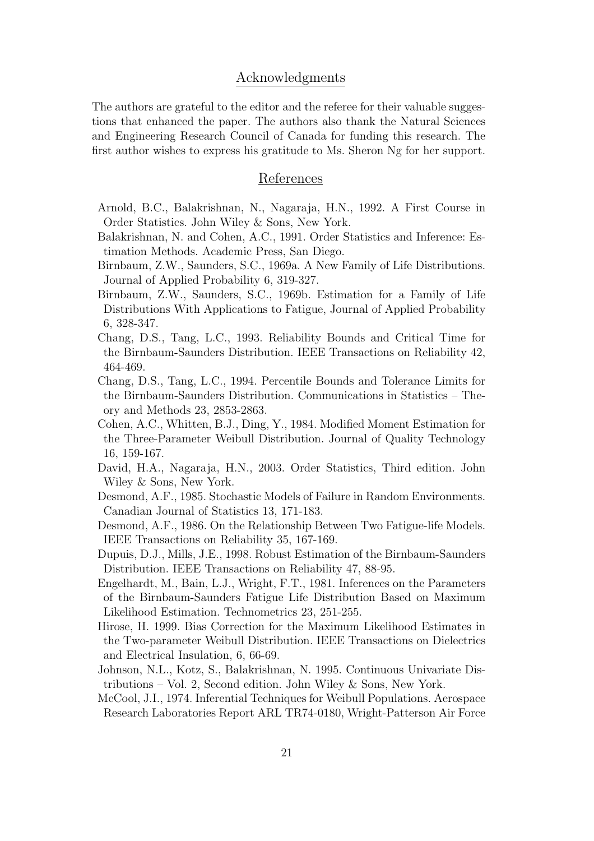# Acknowledgments

The authors are grateful to the editor and the referee for their valuable suggestions that enhanced the paper. The authors also thank the Natural Sciences and Engineering Research Council of Canada for funding this research. The first author wishes to express his gratitude to Ms. Sheron Ng for her support.

# References

- Arnold, B.C., Balakrishnan, N., Nagaraja, H.N., 1992. A First Course in Order Statistics. John Wiley & Sons, New York.
- Balakrishnan, N. and Cohen, A.C., 1991. Order Statistics and Inference: Estimation Methods. Academic Press, San Diego.
- Birnbaum, Z.W., Saunders, S.C., 1969a. A New Family of Life Distributions. Journal of Applied Probability 6, 319-327.
- Birnbaum, Z.W., Saunders, S.C., 1969b. Estimation for a Family of Life Distributions With Applications to Fatigue, Journal of Applied Probability 6, 328-347.
- Chang, D.S., Tang, L.C., 1993. Reliability Bounds and Critical Time for the Birnbaum-Saunders Distribution. IEEE Transactions on Reliability 42, 464-469.
- Chang, D.S., Tang, L.C., 1994. Percentile Bounds and Tolerance Limits for the Birnbaum-Saunders Distribution. Communications in Statistics – Theory and Methods 23, 2853-2863.
- Cohen, A.C., Whitten, B.J., Ding, Y., 1984. Modified Moment Estimation for the Three-Parameter Weibull Distribution. Journal of Quality Technology 16, 159-167.
- David, H.A., Nagaraja, H.N., 2003. Order Statistics, Third edition. John Wiley & Sons, New York.
- Desmond, A.F., 1985. Stochastic Models of Failure in Random Environments. Canadian Journal of Statistics 13, 171-183.
- Desmond, A.F., 1986. On the Relationship Between Two Fatigue-life Models. IEEE Transactions on Reliability 35, 167-169.
- Dupuis, D.J., Mills, J.E., 1998. Robust Estimation of the Birnbaum-Saunders Distribution. IEEE Transactions on Reliability 47, 88-95.
- Engelhardt, M., Bain, L.J., Wright, F.T., 1981. Inferences on the Parameters of the Birnbaum-Saunders Fatigue Life Distribution Based on Maximum Likelihood Estimation. Technometrics 23, 251-255.
- Hirose, H. 1999. Bias Correction for the Maximum Likelihood Estimates in the Two-parameter Weibull Distribution. IEEE Transactions on Dielectrics and Electrical Insulation, 6, 66-69.
- Johnson, N.L., Kotz, S., Balakrishnan, N. 1995. Continuous Univariate Distributions – Vol. 2, Second edition. John Wiley & Sons, New York.
- McCool, J.I., 1974. Inferential Techniques for Weibull Populations. Aerospace Research Laboratories Report ARL TR74-0180, Wright-Patterson Air Force